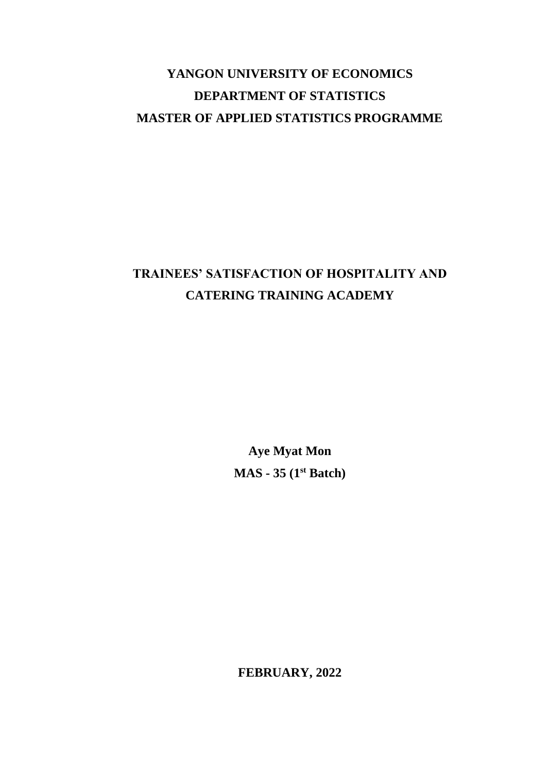# **YANGON UNIVERSITY OF ECONOMICS DEPARTMENT OF STATISTICS MASTER OF APPLIED STATISTICS PROGRAMME**

# **TRAINEES' SATISFACTION OF HOSPITALITY AND CATERING TRAINING ACADEMY**

**Aye Myat Mon MAS - 35 (1 st Batch)**

**FEBRUARY, 2022**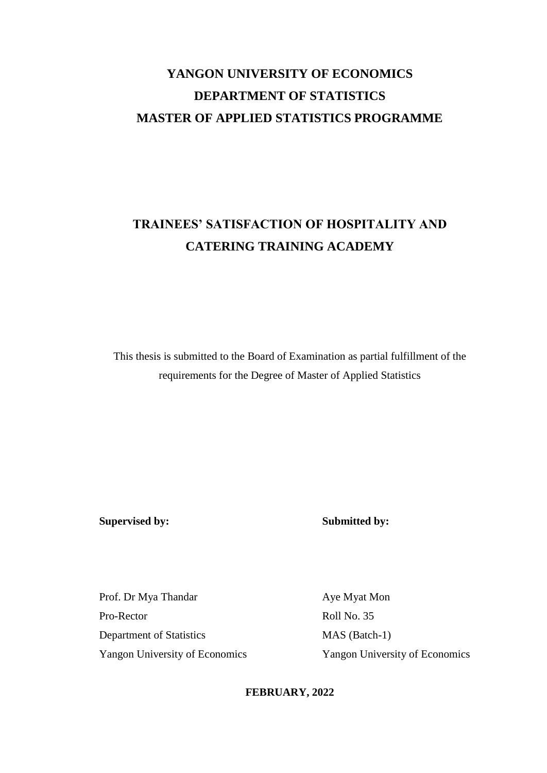# **YANGON UNIVERSITY OF ECONOMICS DEPARTMENT OF STATISTICS MASTER OF APPLIED STATISTICS PROGRAMME**

# **TRAINEES' SATISFACTION OF HOSPITALITY AND CATERING TRAINING ACADEMY**

This thesis is submitted to the Board of Examination as partial fulfillment of the requirements for the Degree of Master of Applied Statistics

**Supervised by: Submitted by:**

Prof. Dr Mya Thandar Aye Myat Mon Pro-Rector Roll No. 35 Department of Statistics MAS (Batch-1) Yangon University of Economics Yangon University of Economics

**FEBRUARY, 2022**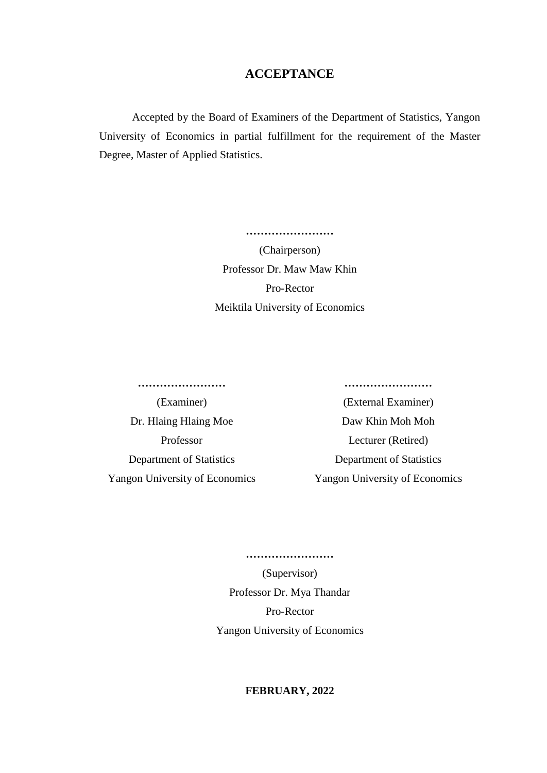### **ACCEPTANCE**

Accepted by the Board of Examiners of the Department of Statistics, Yangon University of Economics in partial fulfillment for the requirement of the Master Degree, Master of Applied Statistics.

> **……………………** (Chairperson) Professor Dr. Maw Maw Khin Pro-Rector Meiktila University of Economics

**…………………… ……………………**

Dr. Hlaing Hlaing Moe Daw Khin Moh Moh Department of Statistics Department of Statistics Yangon University of Economics Yangon University of Economics

(Examiner) (External Examiner) Professor Lecturer (Retired)

> **……………………** (Supervisor) Professor Dr. Mya Thandar Pro-Rector Yangon University of Economics

### **FEBRUARY, 2022**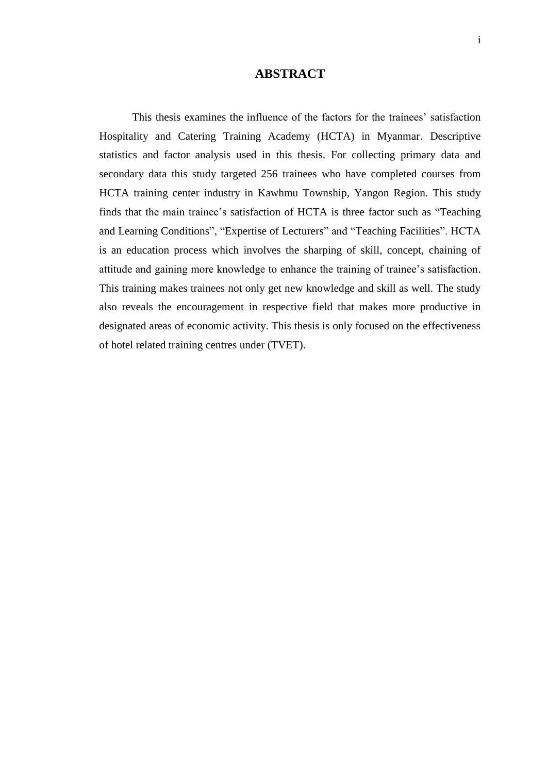### **ABSTRACT**

This thesis examines the influence of the factors for the trainees' satisfaction Hospitality and Catering Training Academy (HCTA) in Myanmar. Descriptive statistics and factor analysis used in this thesis. For collecting primary data and secondary data this study targeted 256 trainees who have completed courses from HCTA training center industry in Kawhmu Township, Yangon Region. This study finds that the main trainee's satisfaction of HCTA is three factor such as "Teaching and Learning Conditions", "Expertise of Lecturers" and "Teaching Facilities". HCTA is an education process which involves the sharping of skill, concept, chaining of attitude and gaining more knowledge to enhance the training of trainee's satisfaction. This training makes trainees not only get new knowledge and skill as well. The study also reveals the encouragement in respective field that makes more productive in designated areas of economic activity. This thesis is only focused on the effectiveness of hotel related training centres under (TVET).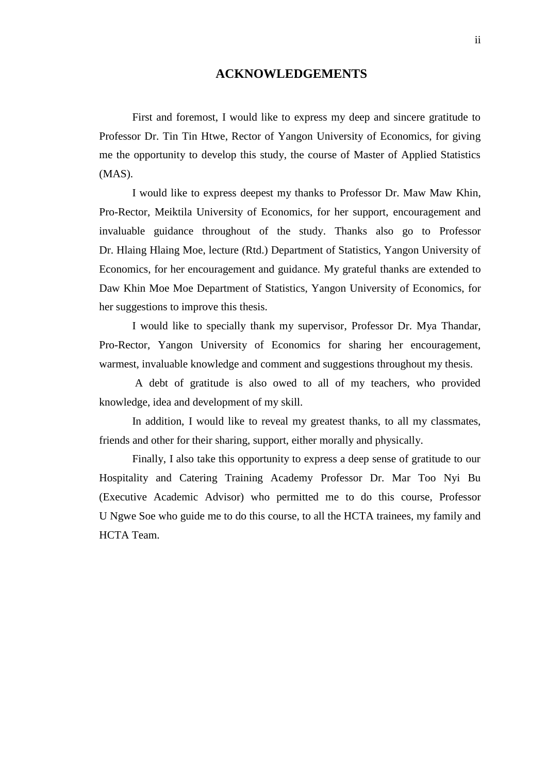### **ACKNOWLEDGEMENTS**

First and foremost, I would like to express my deep and sincere gratitude to Professor Dr. Tin Tin Htwe, Rector of Yangon University of Economics, for giving me the opportunity to develop this study, the course of Master of Applied Statistics (MAS).

I would like to express deepest my thanks to Professor Dr. Maw Maw Khin, Pro-Rector, Meiktila University of Economics, for her support, encouragement and invaluable guidance throughout of the study. Thanks also go to Professor Dr. Hlaing Hlaing Moe, lecture (Rtd.) Department of Statistics, Yangon University of Economics, for her encouragement and guidance. My grateful thanks are extended to Daw Khin Moe Moe Department of Statistics, Yangon University of Economics, for her suggestions to improve this thesis.

I would like to specially thank my supervisor, Professor Dr. Mya Thandar, Pro-Rector, Yangon University of Economics for sharing her encouragement, warmest, invaluable knowledge and comment and suggestions throughout my thesis.

 A debt of gratitude is also owed to all of my teachers, who provided knowledge, idea and development of my skill.

In addition, I would like to reveal my greatest thanks, to all my classmates, friends and other for their sharing, support, either morally and physically.

Finally, I also take this opportunity to express a deep sense of gratitude to our Hospitality and Catering Training Academy Professor Dr. Mar Too Nyi Bu (Executive Academic Advisor) who permitted me to do this course, Professor U Ngwe Soe who guide me to do this course, to all the HCTA trainees, my family and HCTA Team.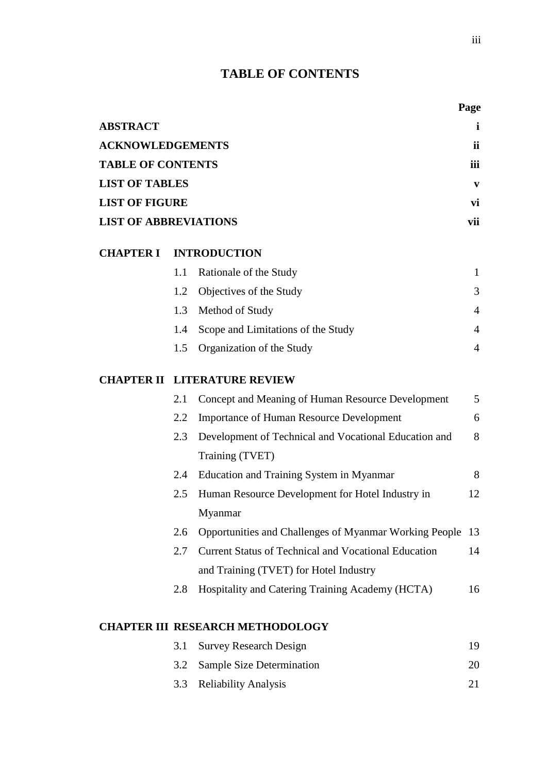# **TABLE OF CONTENTS**

|                              |     |                                                                          | Page           |
|------------------------------|-----|--------------------------------------------------------------------------|----------------|
| <b>ABSTRACT</b>              |     |                                                                          | i              |
| <b>ACKNOWLEDGEMENTS</b>      |     |                                                                          | ii             |
| <b>TABLE OF CONTENTS</b>     |     |                                                                          | iii            |
| <b>LIST OF TABLES</b>        |     |                                                                          | V              |
| <b>LIST OF FIGURE</b>        |     |                                                                          | vi             |
| <b>LIST OF ABBREVIATIONS</b> |     |                                                                          | vii            |
| <b>CHAPTER I</b>             |     | <b>INTRODUCTION</b>                                                      |                |
|                              | 1.1 | Rationale of the Study                                                   | 1              |
|                              | 1.2 | Objectives of the Study                                                  | 3              |
|                              | 1.3 | Method of Study                                                          | $\overline{4}$ |
|                              | 1.4 | Scope and Limitations of the Study                                       | $\overline{4}$ |
|                              | 1.5 | Organization of the Study                                                | 4              |
| <b>CHAPTER II</b>            |     | <b>LITERATURE REVIEW</b>                                                 |                |
|                              | 2.1 | Concept and Meaning of Human Resource Development                        | 5              |
|                              | 2.2 | <b>Importance of Human Resource Development</b>                          | 6              |
|                              | 2.3 | Development of Technical and Vocational Education and<br>Training (TVET) | 8              |
|                              | 2.4 | Education and Training System in Myanmar                                 | 8              |
|                              | 2.5 | Human Resource Development for Hotel Industry in<br>Myanmar              | 12             |
|                              | 2.6 | Opportunities and Challenges of Myanmar Working People                   | 13             |
|                              | 2.7 | <b>Current Status of Technical and Vocational Education</b>              | 14             |
|                              |     | and Training (TVET) for Hotel Industry                                   |                |
|                              | 2.8 | Hospitality and Catering Training Academy (HCTA)                         | 16             |
|                              |     | <b>CHAPTER III RESEARCH METHODOLOGY</b>                                  |                |
|                              | 3.1 | <b>Survey Research Design</b>                                            | 19             |
|                              | 3.2 | <b>Sample Size Determination</b>                                         | 20             |

3.3 Reliability Analysis 21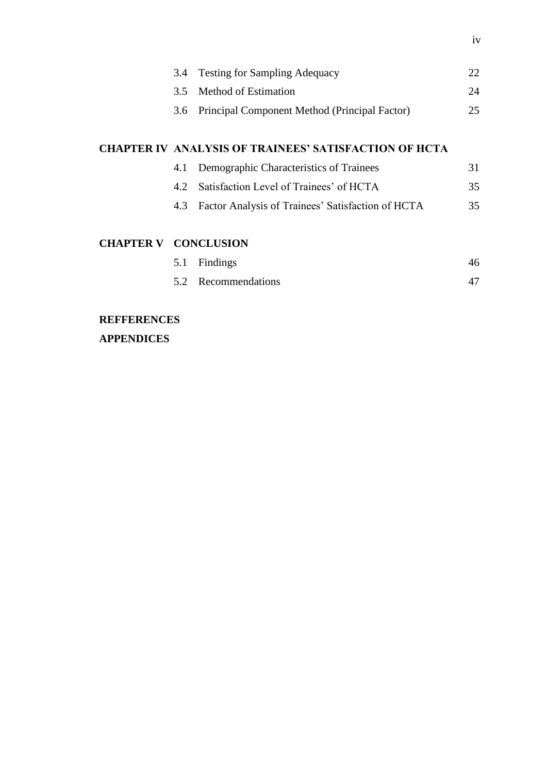|                           | 3.4                                                          | <b>Testing for Sampling Adequacy</b>              | 22 |
|---------------------------|--------------------------------------------------------------|---------------------------------------------------|----|
|                           | 3.5                                                          | Method of Estimation                              | 24 |
|                           |                                                              | 3.6 Principal Component Method (Principal Factor) | 25 |
|                           |                                                              |                                                   |    |
|                           | <b>CHAPTER IV ANALYSIS OF TRAINEES' SATISFACTION OF HCTA</b> |                                                   |    |
|                           | 4.1                                                          | Demographic Characteristics of Trainees           | 31 |
|                           | 4.2                                                          | Satisfaction Level of Trainees' of HCTA           | 35 |
|                           | 4.3                                                          | Factor Analysis of Trainees' Satisfaction of HCTA | 35 |
|                           |                                                              |                                                   |    |
| CILA DTED V – CONCI HEION |                                                              |                                                   |    |

### **CHAPTER V CONCLUSION**

| 5.1 Findings        | 46 |
|---------------------|----|
| 5.2 Recommendations |    |

# **REFFERENCES**

**APPENDICES**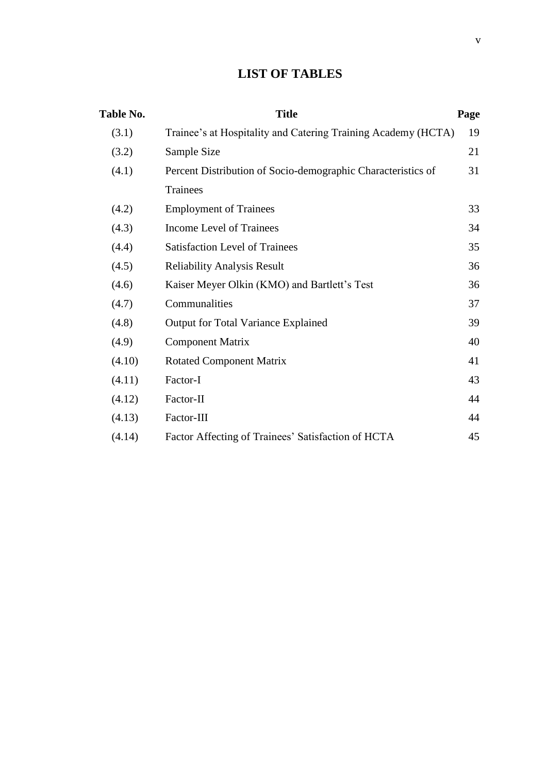# **LIST OF TABLES**

| <b>Table No.</b> | <b>Title</b>                                                  | Page |
|------------------|---------------------------------------------------------------|------|
| (3.1)            | Trainee's at Hospitality and Catering Training Academy (HCTA) | 19   |
| (3.2)            | Sample Size                                                   | 21   |
| (4.1)            | Percent Distribution of Socio-demographic Characteristics of  | 31   |
|                  | Trainees                                                      |      |
| (4.2)            | <b>Employment of Trainees</b>                                 | 33   |
| (4.3)            | Income Level of Trainees                                      | 34   |
| (4.4)            | <b>Satisfaction Level of Trainees</b>                         | 35   |
| (4.5)            | <b>Reliability Analysis Result</b>                            | 36   |
| (4.6)            | Kaiser Meyer Olkin (KMO) and Bartlett's Test                  | 36   |
| (4.7)            | Communalities                                                 | 37   |
| (4.8)            | Output for Total Variance Explained                           | 39   |
| (4.9)            | <b>Component Matrix</b>                                       | 40   |
| (4.10)           | <b>Rotated Component Matrix</b>                               | 41   |
| (4.11)           | Factor-I                                                      | 43   |
| (4.12)           | Factor-II                                                     | 44   |
| (4.13)           | Factor-III                                                    | 44   |
| (4.14)           | Factor Affecting of Trainees' Satisfaction of HCTA            | 45   |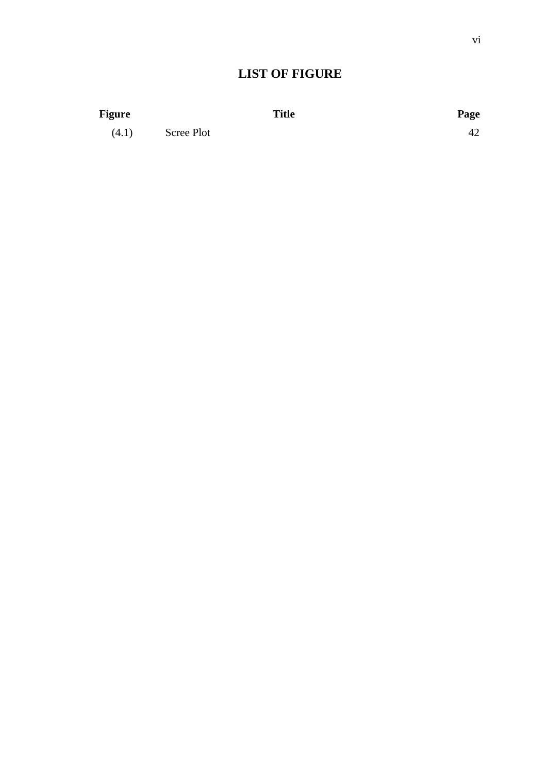## **LIST OF FIGURE**

| <b>Figure</b> |            | <b>Title</b> | Page |
|---------------|------------|--------------|------|
| (4.1)         | Scree Plot |              | 42   |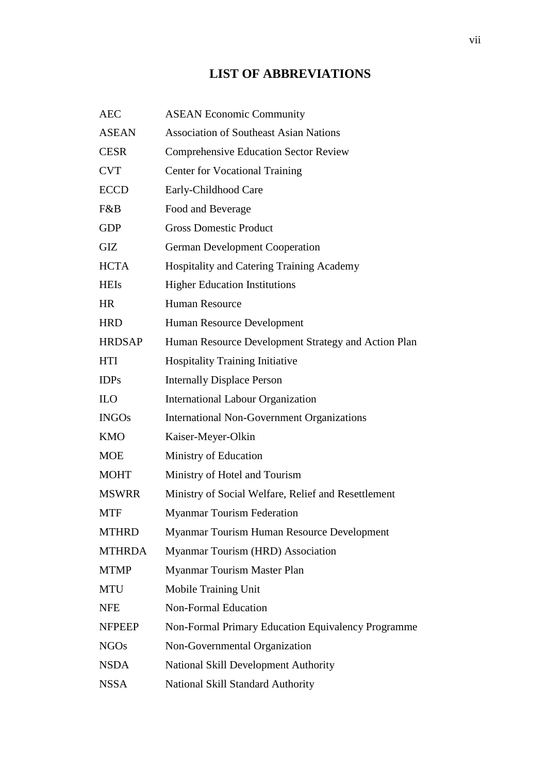## **LIST OF ABBREVIATIONS**

| <b>AEC</b>    | <b>ASEAN Economic Community</b>                     |
|---------------|-----------------------------------------------------|
| <b>ASEAN</b>  | <b>Association of Southeast Asian Nations</b>       |
| <b>CESR</b>   | <b>Comprehensive Education Sector Review</b>        |
| <b>CVT</b>    | <b>Center for Vocational Training</b>               |
| <b>ECCD</b>   | Early-Childhood Care                                |
| F&B           | Food and Beverage                                   |
| <b>GDP</b>    | <b>Gross Domestic Product</b>                       |
| <b>GIZ</b>    | <b>German Development Cooperation</b>               |
| <b>HCTA</b>   | Hospitality and Catering Training Academy           |
| <b>HEIs</b>   | <b>Higher Education Institutions</b>                |
| <b>HR</b>     | <b>Human Resource</b>                               |
| <b>HRD</b>    | Human Resource Development                          |
| <b>HRDSAP</b> | Human Resource Development Strategy and Action Plan |
| <b>HTI</b>    | <b>Hospitality Training Initiative</b>              |
| <b>IDPs</b>   | <b>Internally Displace Person</b>                   |
| <b>ILO</b>    | <b>International Labour Organization</b>            |
| <b>INGOs</b>  | <b>International Non-Government Organizations</b>   |
| <b>KMO</b>    | Kaiser-Meyer-Olkin                                  |
| <b>MOE</b>    | Ministry of Education                               |
| <b>MOHT</b>   | Ministry of Hotel and Tourism                       |
| <b>MSWRR</b>  | Ministry of Social Welfare, Relief and Resettlement |
| <b>MTF</b>    | <b>Myanmar Tourism Federation</b>                   |
| <b>MTHRD</b>  | Myanmar Tourism Human Resource Development          |
| <b>MTHRDA</b> | Myanmar Tourism (HRD) Association                   |
| <b>MTMP</b>   | Myanmar Tourism Master Plan                         |
| <b>MTU</b>    | Mobile Training Unit                                |
| <b>NFE</b>    | <b>Non-Formal Education</b>                         |
| <b>NFPEEP</b> | Non-Formal Primary Education Equivalency Programme  |
| <b>NGOs</b>   | Non-Governmental Organization                       |
| <b>NSDA</b>   | National Skill Development Authority                |
| <b>NSSA</b>   | National Skill Standard Authority                   |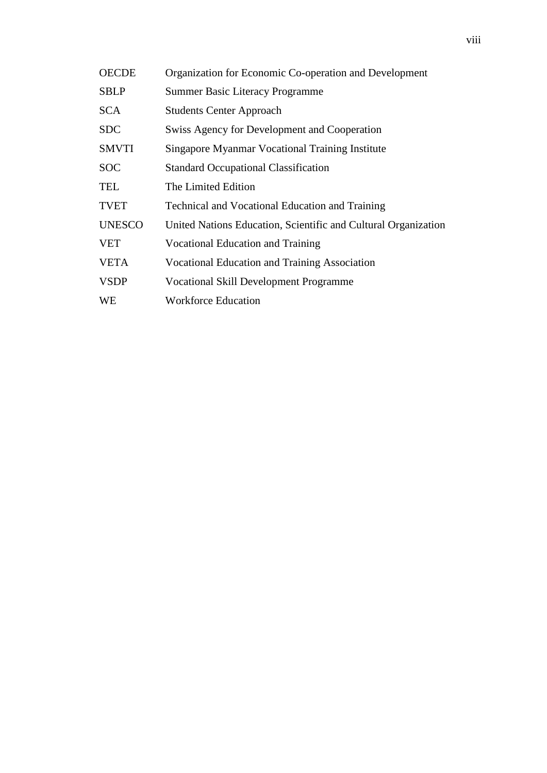| <b>OECDE</b>  | Organization for Economic Co-operation and Development         |
|---------------|----------------------------------------------------------------|
| <b>SBLP</b>   | <b>Summer Basic Literacy Programme</b>                         |
| <b>SCA</b>    | <b>Students Center Approach</b>                                |
| <b>SDC</b>    | Swiss Agency for Development and Cooperation                   |
| <b>SMVTI</b>  | Singapore Myanmar Vocational Training Institute                |
| <b>SOC</b>    | <b>Standard Occupational Classification</b>                    |
| <b>TEL</b>    | The Limited Edition                                            |
| <b>TVET</b>   | <b>Technical and Vocational Education and Training</b>         |
| <b>UNESCO</b> | United Nations Education, Scientific and Cultural Organization |
| <b>VET</b>    | Vocational Education and Training                              |
| <b>VETA</b>   | <b>Vocational Education and Training Association</b>           |
| <b>VSDP</b>   | <b>Vocational Skill Development Programme</b>                  |
| WE            | <b>Workforce Education</b>                                     |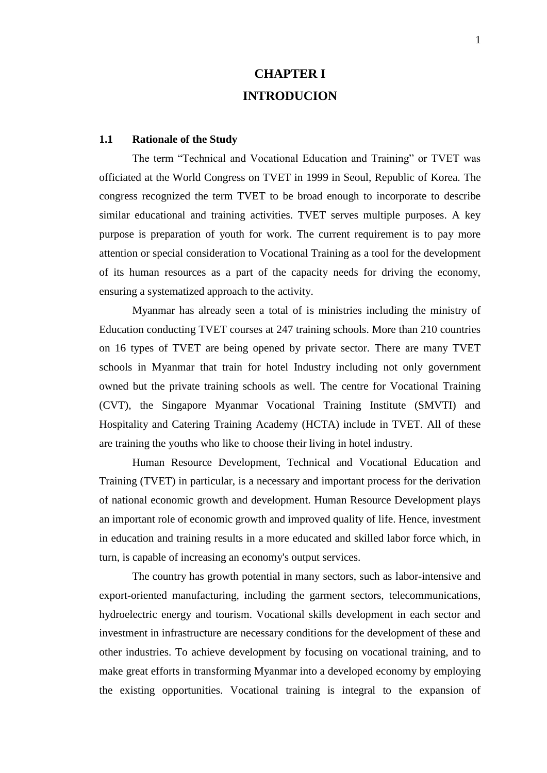# **CHAPTER I INTRODUCION**

#### **1.1 Rationale of the Study**

The term "Technical and Vocational Education and Training" or TVET was officiated at the World Congress on TVET in 1999 in Seoul, Republic of Korea. The congress recognized the term TVET to be broad enough to incorporate to describe similar educational and training activities. TVET serves multiple purposes. A key purpose is preparation of youth for work. The current requirement is to pay more attention or special consideration to Vocational Training as a tool for the development of its human resources as a part of the capacity needs for driving the economy, ensuring a systematized approach to the activity.

Myanmar has already seen a total of is ministries including the ministry of Education conducting TVET courses at 247 training schools. More than 210 countries on 16 types of TVET are being opened by private sector. There are many TVET schools in Myanmar that train for hotel Industry including not only government owned but the private training schools as well. The centre for Vocational Training (CVT), the Singapore Myanmar Vocational Training Institute (SMVTI) and Hospitality and Catering Training Academy (HCTA) include in TVET. All of these are training the youths who like to choose their living in hotel industry.

Human Resource Development, Technical and Vocational Education and Training (TVET) in particular, is a necessary and important process for the derivation of national economic growth and development. Human Resource Development plays an important role of economic growth and improved quality of life. Hence, investment in education and training results in a more educated and skilled labor force which, in turn, is capable of increasing an economy's output services.

The country has growth potential in many sectors, such as labor-intensive and export-oriented manufacturing, including the garment sectors, telecommunications, hydroelectric energy and tourism. Vocational skills development in each sector and investment in infrastructure are necessary conditions for the development of these and other industries. To achieve development by focusing on vocational training, and to make great efforts in transforming Myanmar into a developed economy by employing the existing opportunities. Vocational training is integral to the expansion of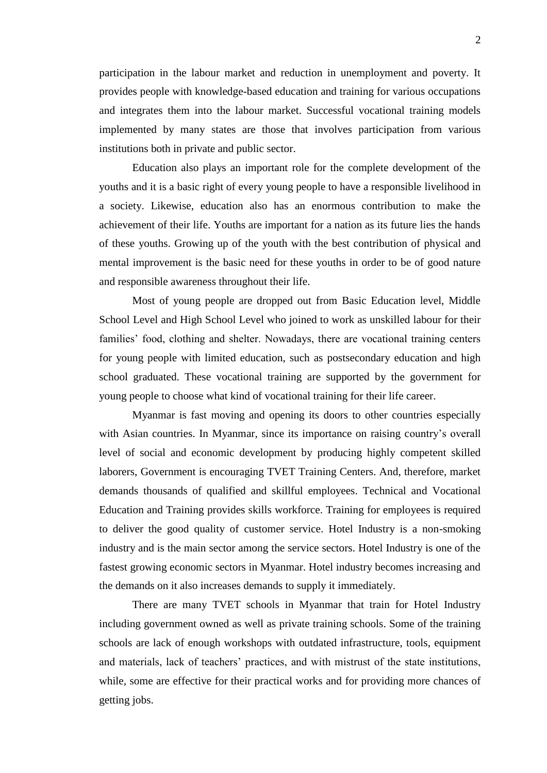participation in the labour market and reduction in unemployment and poverty. It provides people with knowledge-based education and training for various occupations and integrates them into the labour market. Successful vocational training models implemented by many states are those that involves participation from various institutions both in private and public sector.

Education also plays an important role for the complete development of the youths and it is a basic right of every young people to have a responsible livelihood in a society. Likewise, education also has an enormous contribution to make the achievement of their life. Youths are important for a nation as its future lies the hands of these youths. Growing up of the youth with the best contribution of physical and mental improvement is the basic need for these youths in order to be of good nature and responsible awareness throughout their life.

Most of young people are dropped out from Basic Education level, Middle School Level and High School Level who joined to work as unskilled labour for their families' food, clothing and shelter. Nowadays, there are vocational training centers for young people with limited education, such as postsecondary education and high school graduated. These vocational training are supported by the government for young people to choose what kind of vocational training for their life career.

Myanmar is fast moving and opening its doors to other countries especially with Asian countries. In Myanmar, since its importance on raising country's overall level of social and economic development by producing highly competent skilled laborers, Government is encouraging TVET Training Centers. And, therefore, market demands thousands of qualified and skillful employees. Technical and Vocational Education and Training provides skills workforce. Training for employees is required to deliver the good quality of customer service. Hotel Industry is a non-smoking industry and is the main sector among the service sectors. Hotel Industry is one of the fastest growing economic sectors in Myanmar. Hotel industry becomes increasing and the demands on it also increases demands to supply it immediately.

There are many TVET schools in Myanmar that train for Hotel Industry including government owned as well as private training schools. Some of the training schools are lack of enough workshops with outdated infrastructure, tools, equipment and materials, lack of teachers' practices, and with mistrust of the state institutions, while, some are effective for their practical works and for providing more chances of getting jobs.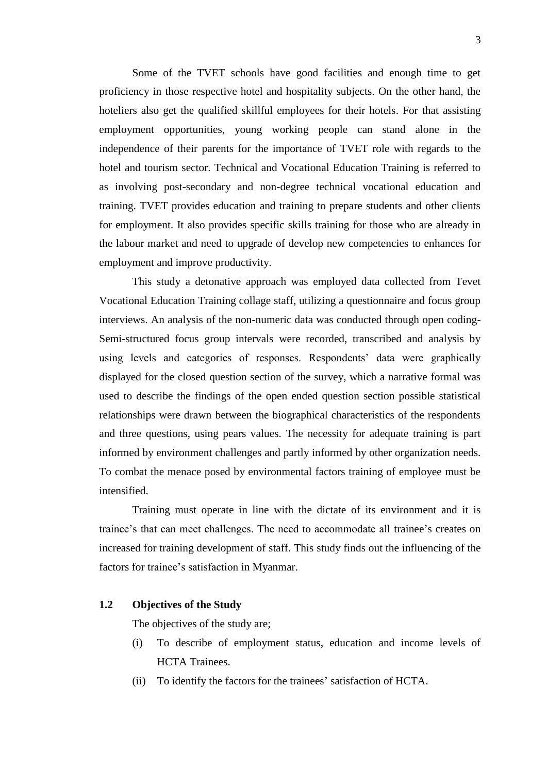Some of the TVET schools have good facilities and enough time to get proficiency in those respective hotel and hospitality subjects. On the other hand, the hoteliers also get the qualified skillful employees for their hotels. For that assisting employment opportunities, young working people can stand alone in the independence of their parents for the importance of TVET role with regards to the hotel and tourism sector. Technical and Vocational Education Training is referred to as involving post-secondary and non-degree technical vocational education and training. TVET provides education and training to prepare students and other clients for employment. It also provides specific skills training for those who are already in the labour market and need to upgrade of develop new competencies to enhances for employment and improve productivity.

This study a detonative approach was employed data collected from Tevet Vocational Education Training collage staff, utilizing a questionnaire and focus group interviews. An analysis of the non-numeric data was conducted through open coding-Semi-structured focus group intervals were recorded, transcribed and analysis by using levels and categories of responses. Respondents' data were graphically displayed for the closed question section of the survey, which a narrative formal was used to describe the findings of the open ended question section possible statistical relationships were drawn between the biographical characteristics of the respondents and three questions, using pears values. The necessity for adequate training is part informed by environment challenges and partly informed by other organization needs. To combat the menace posed by environmental factors training of employee must be intensified.

Training must operate in line with the dictate of its environment and it is trainee's that can meet challenges. The need to accommodate all trainee's creates on increased for training development of staff. This study finds out the influencing of the factors for trainee's satisfaction in Myanmar.

### **1.2 Objectives of the Study**

The objectives of the study are;

- (i) To describe of employment status, education and income levels of HCTA Trainees.
- (ii) To identify the factors for the trainees' satisfaction of HCTA.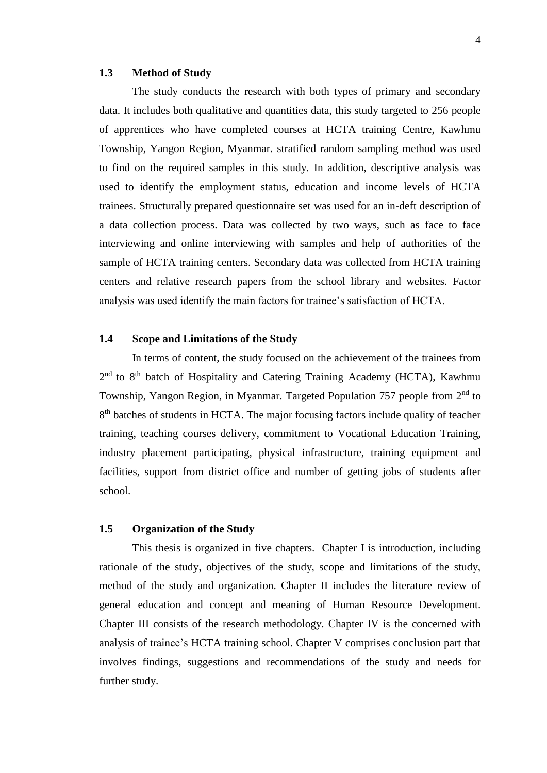### **1.3 Method of Study**

The study conducts the research with both types of primary and secondary data. It includes both qualitative and quantities data, this study targeted to 256 people of apprentices who have completed courses at HCTA training Centre, Kawhmu Township, Yangon Region, Myanmar. stratified random sampling method was used to find on the required samples in this study. In addition, descriptive analysis was used to identify the employment status, education and income levels of HCTA trainees. Structurally prepared questionnaire set was used for an in-deft description of a data collection process. Data was collected by two ways, such as face to face interviewing and online interviewing with samples and help of authorities of the sample of HCTA training centers. Secondary data was collected from HCTA training centers and relative research papers from the school library and websites. Factor analysis was used identify the main factors for trainee's satisfaction of HCTA.

### **1.4 Scope and Limitations of the Study**

In terms of content, the study focused on the achievement of the trainees from 2<sup>nd</sup> to 8<sup>th</sup> batch of Hospitality and Catering Training Academy (HCTA), Kawhmu Township, Yangon Region, in Myanmar. Targeted Population 757 people from 2<sup>nd</sup> to 8<sup>th</sup> batches of students in HCTA. The major focusing factors include quality of teacher training, teaching courses delivery, commitment to Vocational Education Training, industry placement participating, physical infrastructure, training equipment and facilities, support from district office and number of getting jobs of students after school.

### **1.5 Organization of the Study**

This thesis is organized in five chapters. Chapter I is introduction, including rationale of the study, objectives of the study, scope and limitations of the study, method of the study and organization. Chapter II includes the literature review of general education and concept and meaning of Human Resource Development. Chapter III consists of the research methodology. Chapter IV is the concerned with analysis of trainee's HCTA training school. Chapter V comprises conclusion part that involves findings, suggestions and recommendations of the study and needs for further study.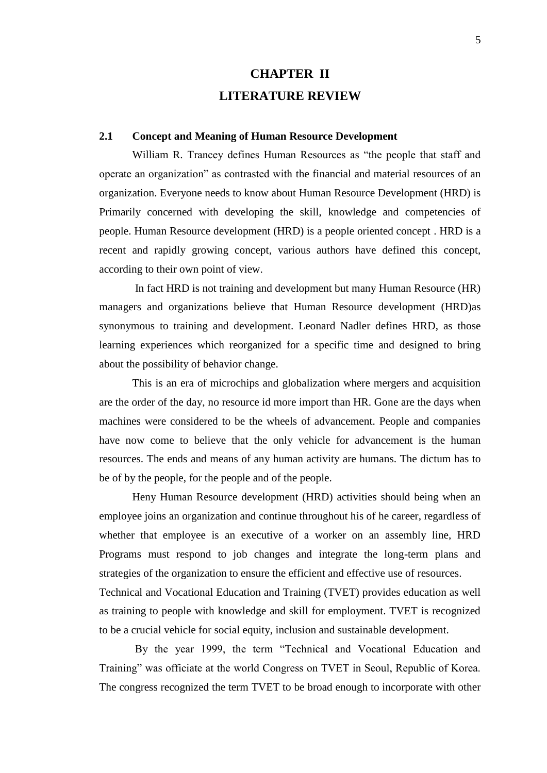# **CHAPTER II LITERATURE REVIEW**

### **2.1 Concept and Meaning of Human Resource Development**

William R. Trancey defines Human Resources as "the people that staff and operate an organization" as contrasted with the financial and material resources of an organization. Everyone needs to know about Human Resource Development (HRD) is Primarily concerned with developing the skill, knowledge and competencies of people. Human Resource development (HRD) is a people oriented concept . HRD is a recent and rapidly growing concept, various authors have defined this concept, according to their own point of view.

In fact HRD is not training and development but many Human Resource (HR) managers and organizations believe that Human Resource development (HRD)as synonymous to training and development. Leonard Nadler defines HRD, as those learning experiences which reorganized for a specific time and designed to bring about the possibility of behavior change.

This is an era of microchips and globalization where mergers and acquisition are the order of the day, no resource id more import than HR. Gone are the days when machines were considered to be the wheels of advancement. People and companies have now come to believe that the only vehicle for advancement is the human resources. The ends and means of any human activity are humans. The dictum has to be of by the people, for the people and of the people.

Heny Human Resource development (HRD) activities should being when an employee joins an organization and continue throughout his of he career, regardless of whether that employee is an executive of a worker on an assembly line, HRD Programs must respond to job changes and integrate the long-term plans and strategies of the organization to ensure the efficient and effective use of resources. Technical and Vocational Education and Training (TVET) provides education as well as training to people with knowledge and skill for employment. TVET is recognized to be a crucial vehicle for social equity, inclusion and sustainable development.

By the year 1999, the term "Technical and Vocational Education and Training" was officiate at the world Congress on TVET in Seoul, Republic of Korea. The congress recognized the term TVET to be broad enough to incorporate with other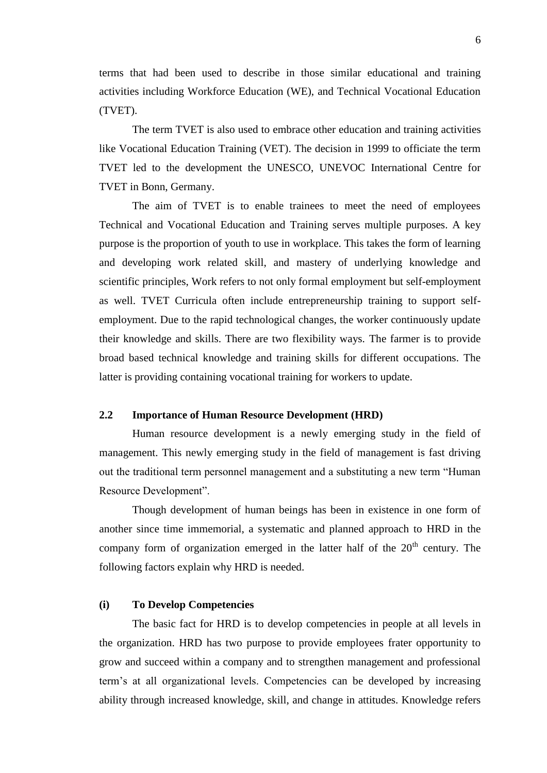terms that had been used to describe in those similar educational and training activities including Workforce Education (WE), and Technical Vocational Education (TVET).

The term TVET is also used to embrace other education and training activities like Vocational Education Training (VET). The decision in 1999 to officiate the term TVET led to the development the UNESCO, UNEVOC International Centre for TVET in Bonn, Germany.

The aim of TVET is to enable trainees to meet the need of employees Technical and Vocational Education and Training serves multiple purposes. A key purpose is the proportion of youth to use in workplace. This takes the form of learning and developing work related skill, and mastery of underlying knowledge and scientific principles, Work refers to not only formal employment but self-employment as well. TVET Curricula often include entrepreneurship training to support selfemployment. Due to the rapid technological changes, the worker continuously update their knowledge and skills. There are two flexibility ways. The farmer is to provide broad based technical knowledge and training skills for different occupations. The latter is providing containing vocational training for workers to update.

#### **2.2 Importance of Human Resource Development (HRD)**

Human resource development is a newly emerging study in the field of management. This newly emerging study in the field of management is fast driving out the traditional term personnel management and a substituting a new term "Human Resource Development".

Though development of human beings has been in existence in one form of another since time immemorial, a systematic and planned approach to HRD in the company form of organization emerged in the latter half of the 20<sup>th</sup> century. The following factors explain why HRD is needed.

### **(i) To Develop Competencies**

The basic fact for HRD is to develop competencies in people at all levels in the organization. HRD has two purpose to provide employees frater opportunity to grow and succeed within a company and to strengthen management and professional term's at all organizational levels. Competencies can be developed by increasing ability through increased knowledge, skill, and change in attitudes. Knowledge refers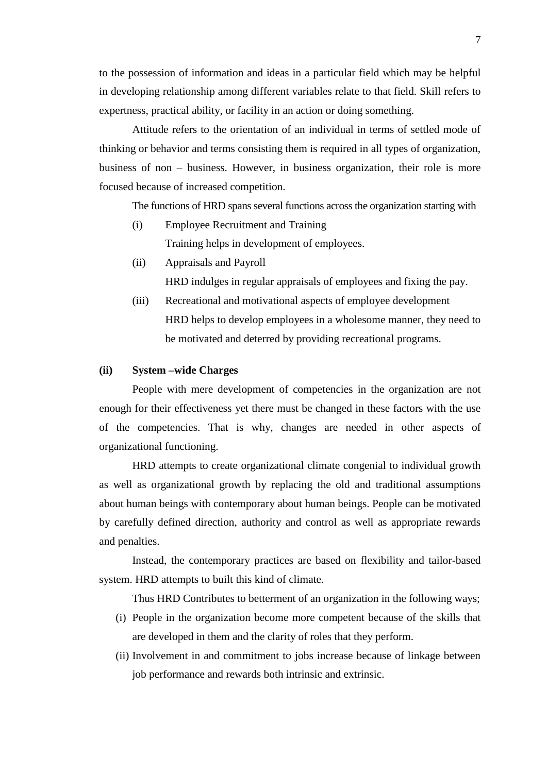to the possession of information and ideas in a particular field which may be helpful in developing relationship among different variables relate to that field. Skill refers to expertness, practical ability, or facility in an action or doing something.

Attitude refers to the orientation of an individual in terms of settled mode of thinking or behavior and terms consisting them is required in all types of organization, business of non – business. However, in business organization, their role is more focused because of increased competition.

The functions of HRD spans several functions across the organization starting with

- (i) Employee Recruitment and Training Training helps in development of employees.
- (ii) Appraisals and Payroll

HRD indulges in regular appraisals of employees and fixing the pay.

(iii) Recreational and motivational aspects of employee development HRD helps to develop employees in a wholesome manner, they need to be motivated and deterred by providing recreational programs.

### **(ii) System –wide Charges**

People with mere development of competencies in the organization are not enough for their effectiveness yet there must be changed in these factors with the use of the competencies. That is why, changes are needed in other aspects of organizational functioning.

HRD attempts to create organizational climate congenial to individual growth as well as organizational growth by replacing the old and traditional assumptions about human beings with contemporary about human beings. People can be motivated by carefully defined direction, authority and control as well as appropriate rewards and penalties.

Instead, the contemporary practices are based on flexibility and tailor-based system. HRD attempts to built this kind of climate.

Thus HRD Contributes to betterment of an organization in the following ways;

- (i) People in the organization become more competent because of the skills that are developed in them and the clarity of roles that they perform.
- (ii) Involvement in and commitment to jobs increase because of linkage between job performance and rewards both intrinsic and extrinsic.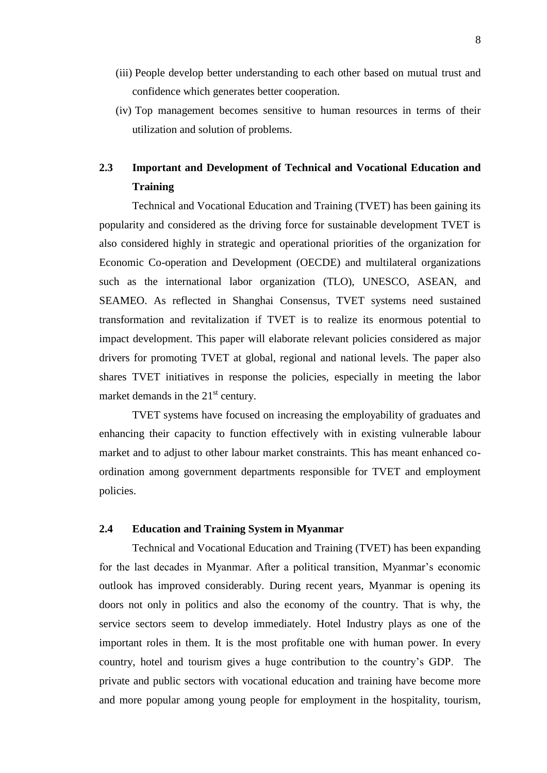- (iii) People develop better understanding to each other based on mutual trust and confidence which generates better cooperation.
- (iv) Top management becomes sensitive to human resources in terms of their utilization and solution of problems.

## **2.3 Important and Development of Technical and Vocational Education and Training**

Technical and Vocational Education and Training (TVET) has been gaining its popularity and considered as the driving force for sustainable development TVET is also considered highly in strategic and operational priorities of the organization for Economic Co-operation and Development (OECDE) and multilateral organizations such as the international labor organization (TLO), UNESCO, ASEAN, and SEAMEO. As reflected in Shanghai Consensus, TVET systems need sustained transformation and revitalization if TVET is to realize its enormous potential to impact development. This paper will elaborate relevant policies considered as major drivers for promoting TVET at global, regional and national levels. The paper also shares TVET initiatives in response the policies, especially in meeting the labor market demands in the 21<sup>st</sup> century.

TVET systems have focused on increasing the employability of graduates and enhancing their capacity to function effectively with in existing vulnerable labour market and to adjust to other labour market constraints. This has meant enhanced coordination among government departments responsible for TVET and employment policies.

### **2.4 Education and Training System in Myanmar**

Technical and Vocational Education and Training (TVET) has been expanding for the last decades in Myanmar. After a political transition, Myanmar's economic outlook has improved considerably. During recent years, Myanmar is opening its doors not only in politics and also the economy of the country. That is why, the service sectors seem to develop immediately. Hotel Industry plays as one of the important roles in them. It is the most profitable one with human power. In every country, hotel and tourism gives a huge contribution to the country's GDP. The private and public sectors with vocational education and training have become more and more popular among young people for employment in the hospitality, tourism,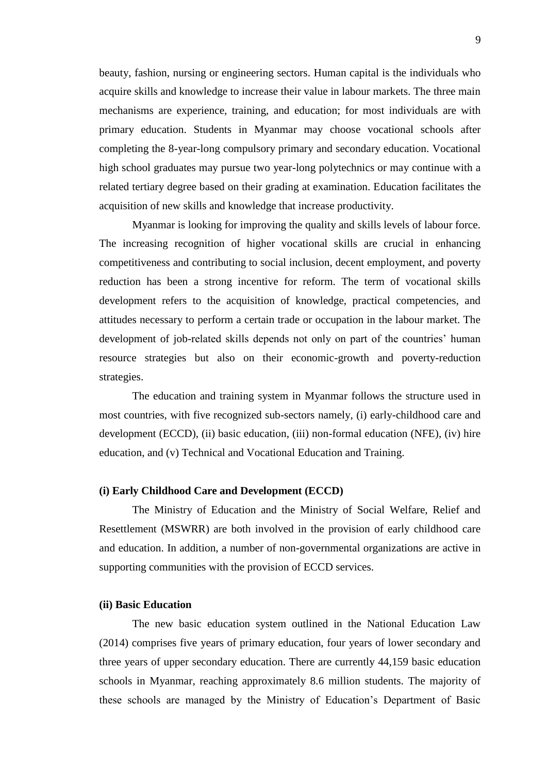beauty, fashion, nursing or engineering sectors. Human capital is the individuals who acquire skills and knowledge to increase their value in labour markets. The three main mechanisms are experience, training, and education; for most individuals are with primary education. Students in Myanmar may choose vocational schools after completing the 8-year-long compulsory primary and secondary education. Vocational high school graduates may pursue two year-long polytechnics or may continue with a related tertiary degree based on their grading at examination. Education facilitates the acquisition of new skills and knowledge that increase productivity.

Myanmar is looking for improving the quality and skills levels of labour force. The increasing recognition of higher vocational skills are crucial in enhancing competitiveness and contributing to social inclusion, decent employment, and poverty reduction has been a strong incentive for reform. The term of vocational skills development refers to the acquisition of knowledge, practical competencies, and attitudes necessary to perform a certain trade or occupation in the labour market. The development of job-related skills depends not only on part of the countries' human resource strategies but also on their economic-growth and poverty-reduction strategies.

The education and training system in Myanmar follows the structure used in most countries, with five recognized sub-sectors namely, (i) early-childhood care and development (ECCD), (ii) basic education, (iii) non-formal education (NFE), (iv) hire education, and (v) Technical and Vocational Education and Training.

#### **(i) Early Childhood Care and Development (ECCD)**

The Ministry of Education and the Ministry of Social Welfare, Relief and Resettlement (MSWRR) are both involved in the provision of early childhood care and education. In addition, a number of non-governmental organizations are active in supporting communities with the provision of ECCD services.

#### **(ii) Basic Education**

The new basic education system outlined in the National Education Law (2014) comprises five years of primary education, four years of lower secondary and three years of upper secondary education. There are currently 44,159 basic education schools in Myanmar, reaching approximately 8.6 million students. The majority of these schools are managed by the Ministry of Education's Department of Basic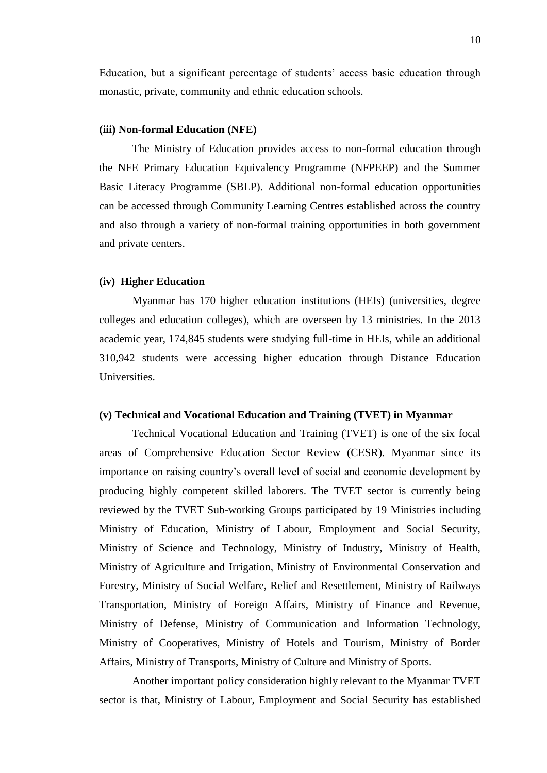Education, but a significant percentage of students' access basic education through monastic, private, community and ethnic education schools.

#### **(iii) Non-formal Education (NFE)**

The Ministry of Education provides access to non-formal education through the NFE Primary Education Equivalency Programme (NFPEEP) and the Summer Basic Literacy Programme (SBLP). Additional non-formal education opportunities can be accessed through Community Learning Centres established across the country and also through a variety of non-formal training opportunities in both government and private centers.

#### **(iv) Higher Education**

Myanmar has 170 higher education institutions (HEIs) (universities, degree colleges and education colleges), which are overseen by 13 ministries. In the 2013 academic year, 174,845 students were studying full-time in HEIs, while an additional 310,942 students were accessing higher education through Distance Education Universities.

#### **(v) Technical and Vocational Education and Training (TVET) in Myanmar**

Technical Vocational Education and Training (TVET) is one of the six focal areas of Comprehensive Education Sector Review (CESR). Myanmar since its importance on raising country's overall level of social and economic development by producing highly competent skilled laborers. The TVET sector is currently being reviewed by the TVET Sub-working Groups participated by 19 Ministries including Ministry of Education, Ministry of Labour, Employment and Social Security, Ministry of Science and Technology, Ministry of Industry, Ministry of Health, Ministry of Agriculture and Irrigation, Ministry of Environmental Conservation and Forestry, Ministry of Social Welfare, Relief and Resettlement, Ministry of Railways Transportation, Ministry of Foreign Affairs, Ministry of Finance and Revenue, Ministry of Defense, Ministry of Communication and Information Technology, Ministry of Cooperatives, Ministry of Hotels and Tourism, Ministry of Border Affairs, Ministry of Transports, Ministry of Culture and Ministry of Sports.

Another important policy consideration highly relevant to the Myanmar TVET sector is that, Ministry of Labour, Employment and Social Security has established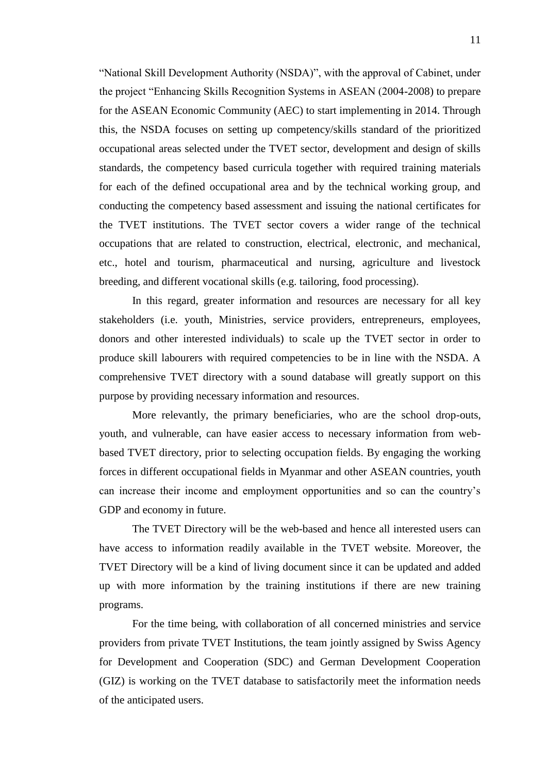"National Skill Development Authority (NSDA)", with the approval of Cabinet, under the project "Enhancing Skills Recognition Systems in ASEAN (2004-2008) to prepare for the ASEAN Economic Community (AEC) to start implementing in 2014. Through this, the NSDA focuses on setting up competency/skills standard of the prioritized occupational areas selected under the TVET sector, development and design of skills standards, the competency based curricula together with required training materials for each of the defined occupational area and by the technical working group, and conducting the competency based assessment and issuing the national certificates for the TVET institutions. The TVET sector covers a wider range of the technical occupations that are related to construction, electrical, electronic, and mechanical, etc., hotel and tourism, pharmaceutical and nursing, agriculture and livestock breeding, and different vocational skills (e.g. tailoring, food processing).

In this regard, greater information and resources are necessary for all key stakeholders (i.e. youth, Ministries, service providers, entrepreneurs, employees, donors and other interested individuals) to scale up the TVET sector in order to produce skill labourers with required competencies to be in line with the NSDA. A comprehensive TVET directory with a sound database will greatly support on this purpose by providing necessary information and resources.

More relevantly, the primary beneficiaries, who are the school drop-outs, youth, and vulnerable, can have easier access to necessary information from webbased TVET directory, prior to selecting occupation fields. By engaging the working forces in different occupational fields in Myanmar and other ASEAN countries, youth can increase their income and employment opportunities and so can the country's GDP and economy in future.

The TVET Directory will be the web-based and hence all interested users can have access to information readily available in the TVET website. Moreover, the TVET Directory will be a kind of living document since it can be updated and added up with more information by the training institutions if there are new training programs.

For the time being, with collaboration of all concerned ministries and service providers from private TVET Institutions, the team jointly assigned by Swiss Agency for Development and Cooperation (SDC) and German Development Cooperation (GIZ) is working on the TVET database to satisfactorily meet the information needs of the anticipated users.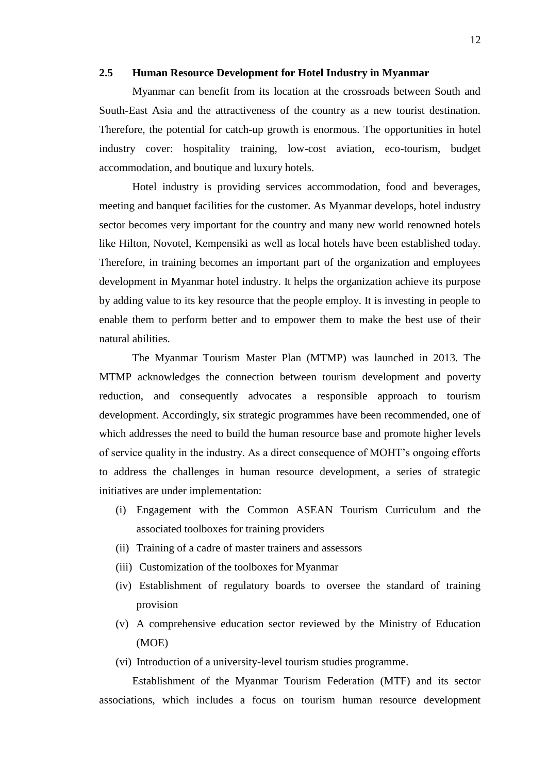#### **2.5 Human Resource Development for Hotel Industry in Myanmar**

Myanmar can benefit from its location at the crossroads between South and South-East Asia and the attractiveness of the country as a new tourist destination. Therefore, the potential for catch-up growth is enormous. The opportunities in hotel industry cover: hospitality training, low-cost aviation, eco-tourism, budget accommodation, and boutique and luxury hotels.

Hotel industry is providing services accommodation, food and beverages, meeting and banquet facilities for the customer. As Myanmar develops, hotel industry sector becomes very important for the country and many new world renowned hotels like Hilton, Novotel, Kempensiki as well as local hotels have been established today. Therefore, in training becomes an important part of the organization and employees development in Myanmar hotel industry. It helps the organization achieve its purpose by adding value to its key resource that the people employ. It is investing in people to enable them to perform better and to empower them to make the best use of their natural abilities.

The Myanmar Tourism Master Plan (MTMP) was launched in 2013. The MTMP acknowledges the connection between tourism development and poverty reduction, and consequently advocates a responsible approach to tourism development. Accordingly, six strategic programmes have been recommended, one of which addresses the need to build the human resource base and promote higher levels of service quality in the industry. As a direct consequence of MOHT's ongoing efforts to address the challenges in human resource development, a series of strategic initiatives are under implementation:

- (i) Engagement with the Common ASEAN Tourism Curriculum and the associated toolboxes for training providers
- (ii) Training of a cadre of master trainers and assessors
- (iii) Customization of the toolboxes for Myanmar
- (iv) Establishment of regulatory boards to oversee the standard of training provision
- (v) A comprehensive education sector reviewed by the Ministry of Education (MOE)
- (vi) Introduction of a university-level tourism studies programme.

Establishment of the Myanmar Tourism Federation (MTF) and its sector associations, which includes a focus on tourism human resource development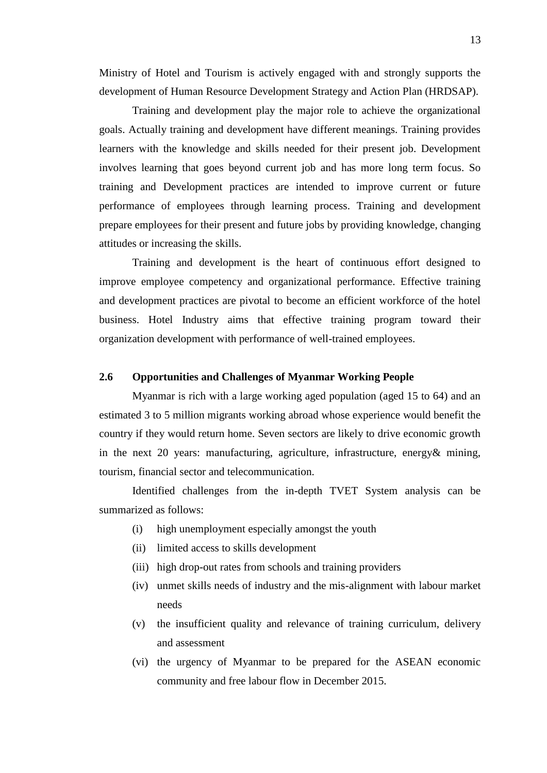Ministry of Hotel and Tourism is actively engaged with and strongly supports the development of Human Resource Development Strategy and Action Plan (HRDSAP).

Training and development play the major role to achieve the organizational goals. Actually training and development have different meanings. Training provides learners with the knowledge and skills needed for their present job. Development involves learning that goes beyond current job and has more long term focus. So training and Development practices are intended to improve current or future performance of employees through learning process. Training and development prepare employees for their present and future jobs by providing knowledge, changing attitudes or increasing the skills.

Training and development is the heart of continuous effort designed to improve employee competency and organizational performance. Effective training and development practices are pivotal to become an efficient workforce of the hotel business. Hotel Industry aims that effective training program toward their organization development with performance of well-trained employees.

### **2.6 Opportunities and Challenges of Myanmar Working People**

Myanmar is rich with a large working aged population (aged 15 to 64) and an estimated 3 to 5 million migrants working abroad whose experience would benefit the country if they would return home. Seven sectors are likely to drive economic growth in the next 20 years: manufacturing, agriculture, infrastructure, energy& mining, tourism, financial sector and telecommunication.

Identified challenges from the in-depth TVET System analysis can be summarized as follows:

- (i) high unemployment especially amongst the youth
- (ii) limited access to skills development
- (iii) high drop-out rates from schools and training providers
- (iv) unmet skills needs of industry and the mis-alignment with labour market needs
- (v) the insufficient quality and relevance of training curriculum, delivery and assessment
- (vi) the urgency of Myanmar to be prepared for the ASEAN economic community and free labour flow in December 2015.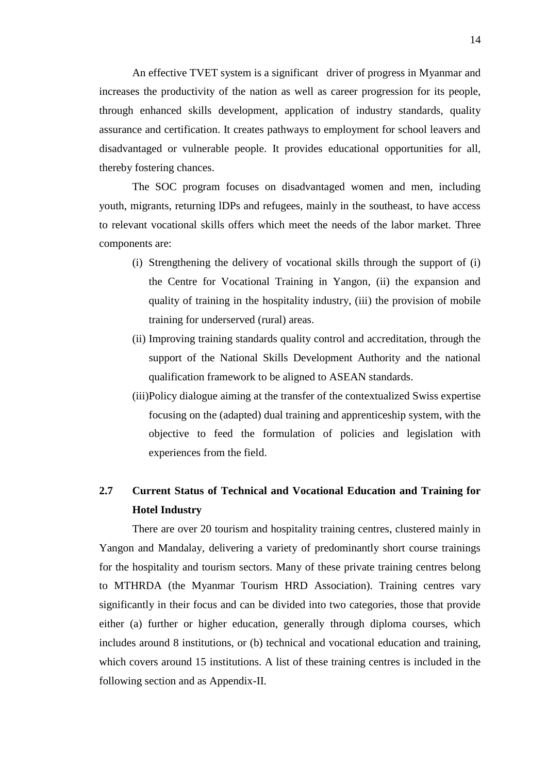An effective TVET system is a significant driver of progress in Myanmar and increases the productivity of the nation as well as career progression for its people, through enhanced skills development, application of industry standards, quality assurance and certification. It creates pathways to employment for school leavers and disadvantaged or vulnerable people. It provides educational opportunities for all, thereby fostering chances.

The SOC program focuses on disadvantaged women and men, including youth, migrants, returning lDPs and refugees, mainly in the southeast, to have access to relevant vocational skills offers which meet the needs of the labor market. Three components are:

- (i) Strengthening the delivery of vocational skills through the support of (i) the Centre for Vocational Training in Yangon, (ii) the expansion and quality of training in the hospitality industry, (iii) the provision of mobile training for underserved (rural) areas.
- (ii) Improving training standards quality control and accreditation, through the support of the National Skills Development Authority and the national qualification framework to be aligned to ASEAN standards.
- (iii)Policy dialogue aiming at the transfer of the contextualized Swiss expertise focusing on the (adapted) dual training and apprenticeship system, with the objective to feed the formulation of policies and legislation with experiences from the field.

## **2.7 Current Status of Technical and Vocational Education and Training for Hotel Industry**

There are over 20 tourism and hospitality training centres, clustered mainly in Yangon and Mandalay, delivering a variety of predominantly short course trainings for the hospitality and tourism sectors. Many of these private training centres belong to MTHRDA (the Myanmar Tourism HRD Association). Training centres vary significantly in their focus and can be divided into two categories, those that provide either (a) further or higher education, generally through diploma courses, which includes around 8 institutions, or (b) technical and vocational education and training, which covers around 15 institutions. A list of these training centres is included in the following section and as Appendix-II.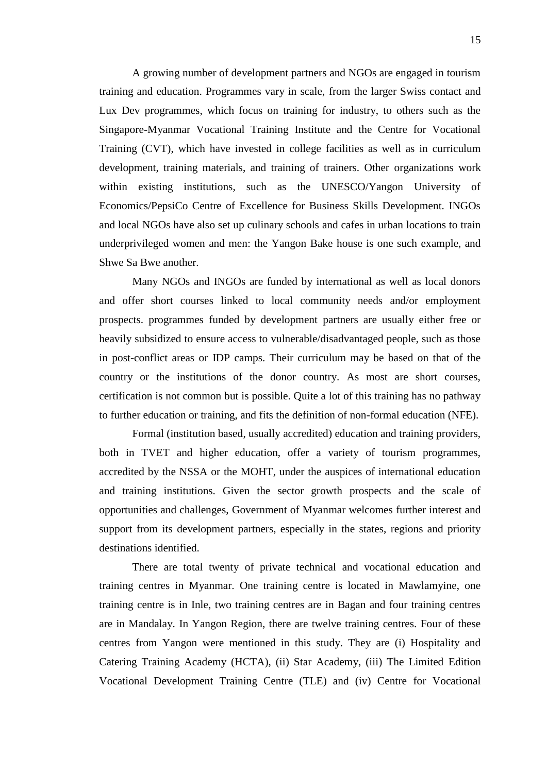A growing number of development partners and NGOs are engaged in tourism training and education. Programmes vary in scale, from the larger Swiss contact and Lux Dev programmes, which focus on training for industry, to others such as the Singapore-Myanmar Vocational Training Institute and the Centre for Vocational Training (CVT), which have invested in college facilities as well as in curriculum development, training materials, and training of trainers. Other organizations work within existing institutions, such as the UNESCO/Yangon University of Economics/PepsiCo Centre of Excellence for Business Skills Development. INGOs and local NGOs have also set up culinary schools and cafes in urban locations to train underprivileged women and men: the Yangon Bake house is one such example, and Shwe Sa Bwe another.

Many NGOs and INGOs are funded by international as well as local donors and offer short courses linked to local community needs and/or employment prospects. programmes funded by development partners are usually either free or heavily subsidized to ensure access to vulnerable/disadvantaged people, such as those in post-conflict areas or IDP camps. Their curriculum may be based on that of the country or the institutions of the donor country. As most are short courses, certification is not common but is possible. Quite a lot of this training has no pathway to further education or training, and fits the definition of non-formal education (NFE).

Formal (institution based, usually accredited) education and training providers, both in TVET and higher education, offer a variety of tourism programmes, accredited by the NSSA or the MOHT, under the auspices of international education and training institutions. Given the sector growth prospects and the scale of opportunities and challenges, Government of Myanmar welcomes further interest and support from its development partners, especially in the states, regions and priority destinations identified.

There are total twenty of private technical and vocational education and training centres in Myanmar. One training centre is located in Mawlamyine, one training centre is in Inle, two training centres are in Bagan and four training centres are in Mandalay. In Yangon Region, there are twelve training centres. Four of these centres from Yangon were mentioned in this study. They are (i) Hospitality and Catering Training Academy (HCTA), (ii) Star Academy, (iii) The Limited Edition Vocational Development Training Centre (TLE) and (iv) Centre for Vocational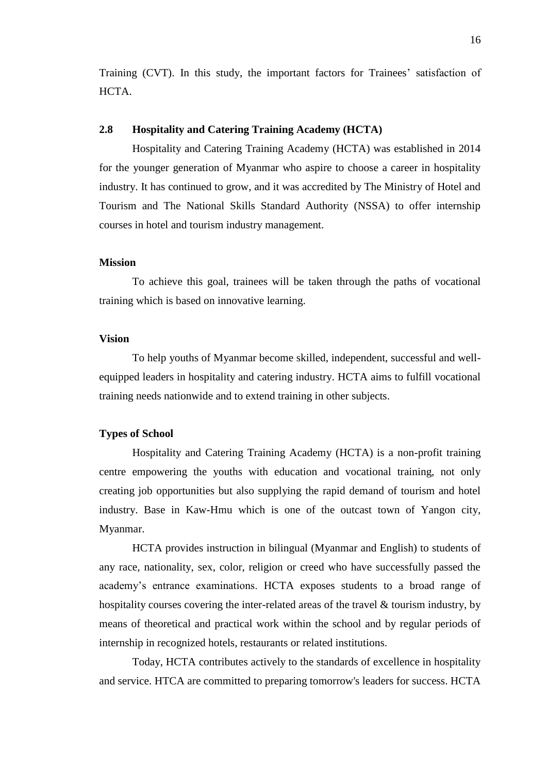Training (CVT). In this study, the important factors for Trainees' satisfaction of HCTA.

### **2.8 Hospitality and Catering Training Academy (HCTA)**

Hospitality and Catering Training Academy (HCTA) was established in 2014 for the younger generation of Myanmar who aspire to choose a career in hospitality industry. It has continued to grow, and it was accredited by The Ministry of Hotel and Tourism and The National Skills Standard Authority (NSSA) to offer internship courses in hotel and tourism industry management.

#### **Mission**

To achieve this goal, trainees will be taken through the paths of vocational training which is based on innovative learning.

### **Vision**

To help youths of Myanmar become skilled, independent, successful and wellequipped leaders in hospitality and catering industry. HCTA aims to fulfill vocational training needs nationwide and to extend training in other subjects.

#### **Types of School**

Hospitality and Catering Training Academy (HCTA) is a non-profit training centre empowering the youths with education and vocational training, not only creating job opportunities but also supplying the rapid demand of tourism and hotel industry. Base in Kaw-Hmu which is one of the outcast town of Yangon city, Myanmar.

HCTA provides instruction in bilingual (Myanmar and English) to students of any race, nationality, sex, color, religion or creed who have successfully passed the academy's entrance examinations. HCTA exposes students to a broad range of hospitality courses covering the inter-related areas of the travel & tourism industry, by means of theoretical and practical work within the school and by regular periods of internship in recognized hotels, restaurants or related institutions.

Today, HCTA contributes actively to the standards of excellence in hospitality and service. HTCA are committed to preparing tomorrow's leaders for success. HCTA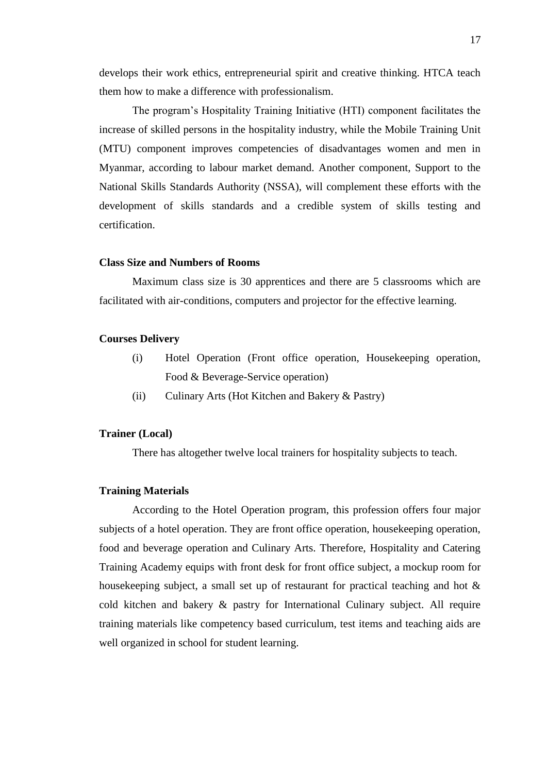develops their work ethics, entrepreneurial spirit and creative thinking. HTCA teach them how to make a difference with professionalism.

The program's Hospitality Training Initiative (HTI) component facilitates the increase of skilled persons in the hospitality industry, while the Mobile Training Unit (MTU) component improves competencies of disadvantages women and men in Myanmar, according to labour market demand. Another component, Support to the National Skills Standards Authority (NSSA), will complement these efforts with the development of skills standards and a credible system of skills testing and certification.

#### **Class Size and Numbers of Rooms**

Maximum class size is 30 apprentices and there are 5 classrooms which are facilitated with air-conditions, computers and projector for the effective learning.

#### **Courses Delivery**

- (i) Hotel Operation (Front office operation, Housekeeping operation, Food & Beverage-Service operation)
- (ii) Culinary Arts (Hot Kitchen and Bakery & Pastry)

#### **Trainer (Local)**

There has altogether twelve local trainers for hospitality subjects to teach.

### **Training Materials**

According to the Hotel Operation program, this profession offers four major subjects of a hotel operation. They are front office operation, housekeeping operation, food and beverage operation and Culinary Arts. Therefore, Hospitality and Catering Training Academy equips with front desk for front office subject, a mockup room for housekeeping subject, a small set up of restaurant for practical teaching and hot  $\&$ cold kitchen and bakery & pastry for International Culinary subject. All require training materials like competency based curriculum, test items and teaching aids are well organized in school for student learning.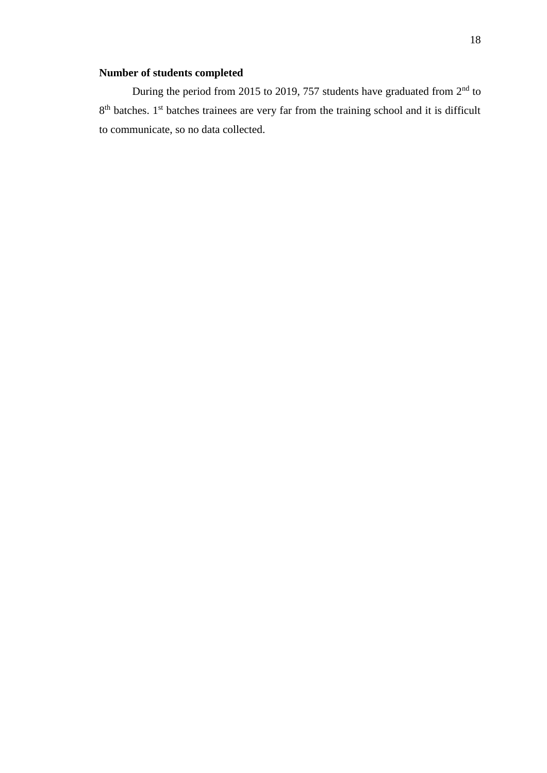### **Number of students completed**

During the period from 2015 to 2019, 757 students have graduated from  $2<sup>nd</sup>$  to 8<sup>th</sup> batches. 1<sup>st</sup> batches trainees are very far from the training school and it is difficult to communicate, so no data collected.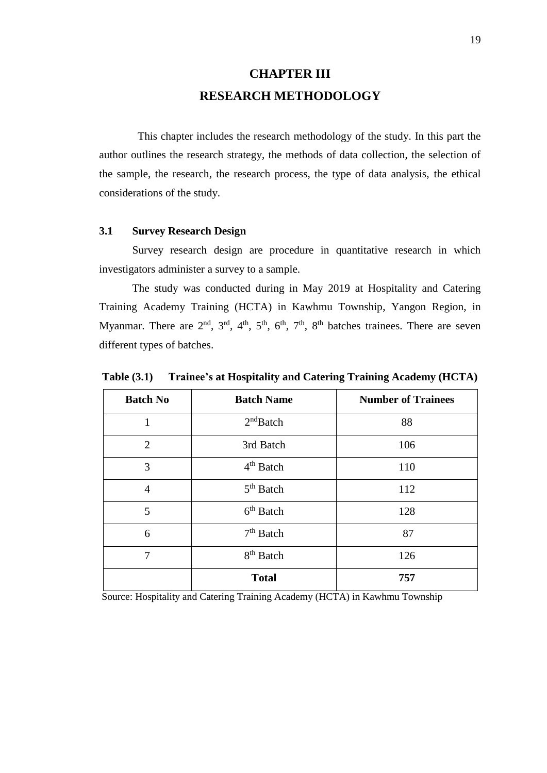# **CHAPTER III RESEARCH METHODOLOGY**

 This chapter includes the research methodology of the study. In this part the author outlines the research strategy, the methods of data collection, the selection of the sample, the research, the research process, the type of data analysis, the ethical considerations of the study.

### **3.1 Survey Research Design**

 Survey research design are procedure in quantitative research in which investigators administer a survey to a sample.

 The study was conducted during in May 2019 at Hospitality and Catering Training Academy Training (HCTA) in Kawhmu Township, Yangon Region, in Myanmar. There are  $2<sup>nd</sup>$ ,  $3<sup>rd</sup>$ ,  $4<sup>th</sup>$ ,  $5<sup>th</sup>$ ,  $6<sup>th</sup>$ ,  $7<sup>th</sup>$ ,  $8<sup>th</sup>$  batches trainees. There are seven different types of batches.

**Table (3.1) Trainee's at Hospitality and Catering Training Academy (HCTA)**

| <b>Batch No</b> | <b>Batch Name</b>     | <b>Number of Trainees</b> |
|-----------------|-----------------------|---------------------------|
| 1               | 2 <sup>nd</sup> Batch | 88                        |
| $\overline{2}$  | 3rd Batch             | 106                       |
| 3               | $4th$ Batch           | 110                       |
| $\overline{4}$  | $5th$ Batch           | 112                       |
| 5               | $6th$ Batch           | 128                       |
| 6               | $7th$ Batch           | 87                        |
| $\tau$          | 8 <sup>th</sup> Batch | 126                       |
|                 | <b>Total</b>          | 757                       |

Source: Hospitality and Catering Training Academy (HCTA) in Kawhmu Township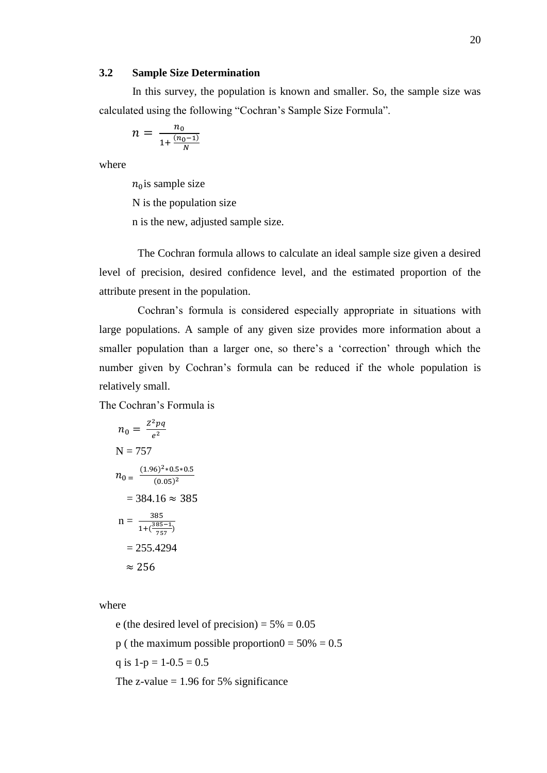#### **3.2 Sample Size Determination**

 In this survey, the population is known and smaller. So, the sample size was calculated using the following "Cochran's Sample Size Formula".

$$
n = \frac{n_0}{1 + \frac{(n_0 - 1)}{N}}
$$

where

 $n_0$ is sample size N is the population size n is the new, adjusted sample size.

 The Cochran formula allows to calculate an ideal sample size given a desired level of precision, desired [confidence level,](https://www.statisticshowto.datasciencecentral.com/confidence-level/) and the estimated proportion of the attribute present in the population.

 Cochran's formula is considered especially appropriate in situations with large populations. A sample of any given size provides more information about a smaller population than a larger one, so there's a 'correction' through which the number given by Cochran's formula can be reduced if the whole population is relatively small.

The Cochran's Formula is

$$
n_0 = \frac{Z^2 pq}{e^2}
$$
  
\nN = 757  
\n
$$
n_0 = \frac{(1.96)^2 * 0.5 * 0.5}{(0.05)^2}
$$
  
\n= 384.16 ≈ 385  
\n
$$
n = \frac{385}{1 + (\frac{385 - 1}{757})}
$$
  
\n= 255.4294  
\n≈ 256

where

e (the desired level of precision) =  $5\% = 0.05$ p ( the maximum possible proportion $0 = 50\% = 0.5$ q is  $1-p = 1-0.5 = 0.5$ The z-value  $= 1.96$  for 5% significance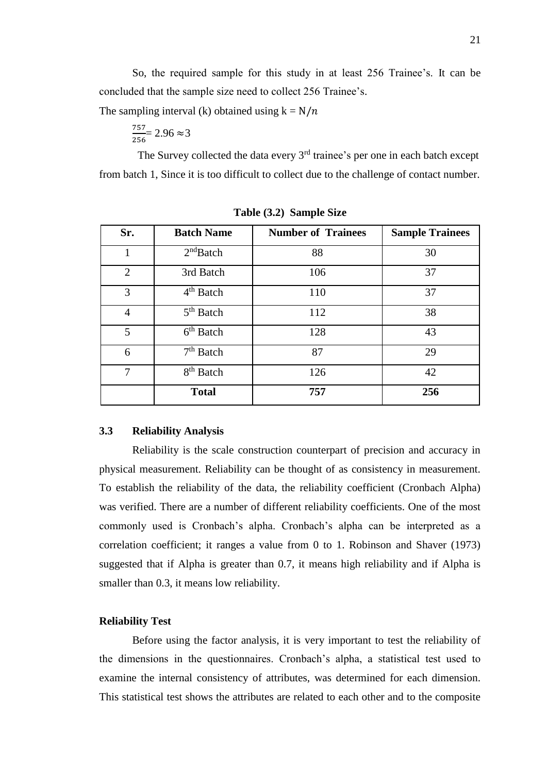So, the required sample for this study in at least 256 Trainee's. It can be concluded that the sample size need to collect 256 Trainee's.

The sampling interval (k) obtained using  $k = N/n$ 

$$
\frac{757}{256} = 2.96 \approx 3
$$

The Survey collected the data every 3<sup>rd</sup> trainee's per one in each batch except from batch 1, Since it is too difficult to collect due to the challenge of contact number.

| Sr.            | <b>Batch Name</b>     | <b>Number of Trainees</b> | <b>Sample Trainees</b> |
|----------------|-----------------------|---------------------------|------------------------|
| 1              | 2 <sup>nd</sup> Batch | 88                        | 30                     |
| $\overline{2}$ | 3rd Batch             | 106                       | 37                     |
| 3              | $4th$ Batch           | 110                       | 37                     |
| $\overline{4}$ | $5th$ Batch           | 112                       | 38                     |
| 5              | $6th$ Batch           | 128                       | 43                     |
| 6              | $7th$ Batch           | 87                        | 29                     |
| 7              | 8 <sup>th</sup> Batch | 126                       | 42                     |
|                | <b>Total</b>          | 757                       | 256                    |

**Table (3.2) Sample Size** 

### **3.3 Reliability Analysis**

 Reliability is the scale construction counterpart of precision and accuracy in physical measurement. Reliability can be thought of as consistency in measurement. To establish the reliability of the data, the reliability coefficient (Cronbach Alpha) was verified. There are a number of different reliability coefficients. One of the most commonly used is Cronbach's alpha. Cronbach's alpha can be interpreted as a correlation coefficient; it ranges a value from 0 to 1. Robinson and Shaver (1973) suggested that if Alpha is greater than 0.7, it means high reliability and if Alpha is smaller than 0.3, it means low reliability.

#### **Reliability Test**

 Before using the factor analysis, it is very important to test the reliability of the dimensions in the questionnaires. Cronbach's alpha, a statistical test used to examine the internal consistency of attributes, was determined for each dimension. This statistical test shows the attributes are related to each other and to the composite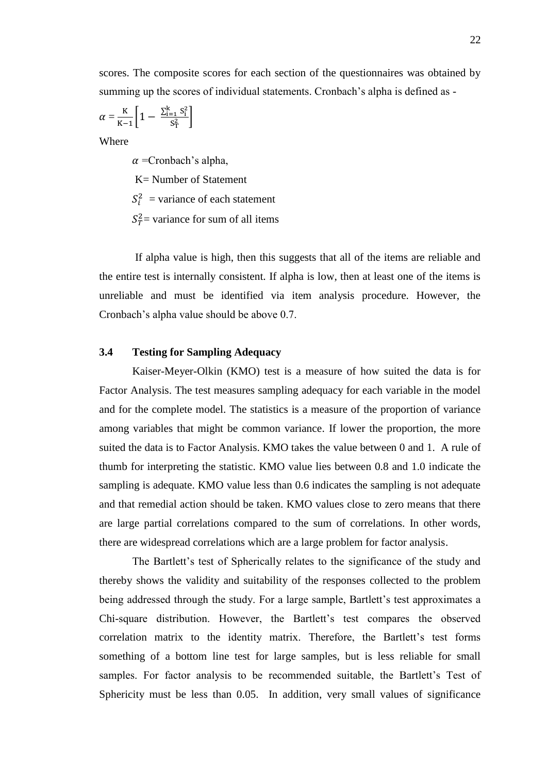$$
\alpha = \frac{\mathrm{K}}{\mathrm{K}-1} \left[ 1 - \frac{\sum_{i=1}^k S_i^2}{S_T^2} \right]
$$

Where

 $\alpha$  =Cronbach's alpha,

K= Number of Statement

 $S_i^2$  = variance of each statement

 $S_T^2$  variance for sum of all items

 If alpha value is high, then this suggests that all of the items are reliable and the entire test is internally consistent. If alpha is low, then at least one of the items is unreliable and must be identified via item analysis procedure. However, the Cronbach's alpha value should be above 0.7.

### **3.4 Testing for Sampling Adequacy**

 Kaiser-Meyer-Olkin (KMO) test is a measure of how suited the data is for Factor Analysis. The test measures sampling adequacy for each variable in the model and for the complete model. The statistics is a measure of the proportion of variance among variables that might be common variance. If lower the proportion, the more suited the data is to Factor Analysis. KMO takes the value between 0 and 1. A rule of thumb for interpreting the statistic. KMO value lies between 0.8 and 1.0 indicate the sampling is adequate. KMO value less than 0.6 indicates the sampling is not adequate and that remedial action should be taken. KMO values close to zero means that there are large partial correlations compared to the sum of correlations. In other words, there are widespread correlations which are a large problem for factor analysis.

The Bartlett's test of Spherically relates to the significance of the study and thereby shows the validity and suitability of the responses collected to the problem being addressed through the study. For a large sample, Bartlett's test approximates a Chi-square distribution. However, the Bartlett's test compares the observed correlation matrix to the identity matrix. Therefore, the Bartlett's test forms something of a bottom line test for large samples, but is less reliable for small samples. For factor analysis to be recommended suitable, the Bartlett's Test of Sphericity must be less than 0.05. In addition, very small values of significance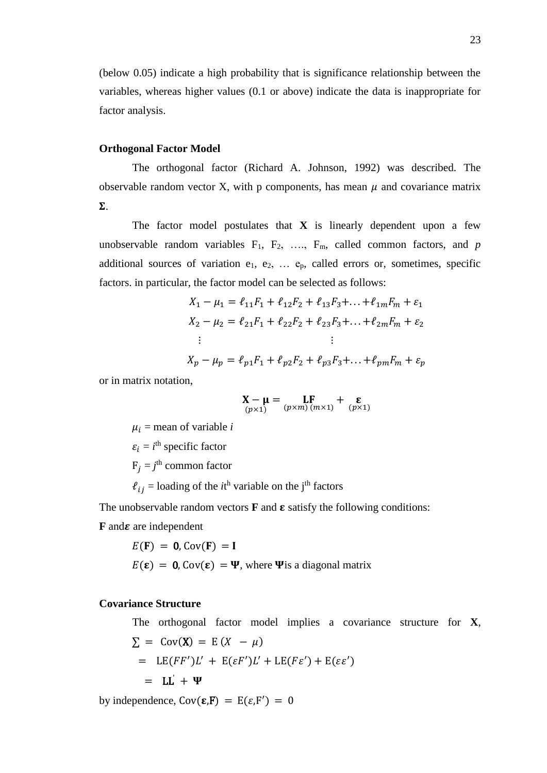(below 0.05) indicate a high probability that is significance relationship between the variables, whereas higher values (0.1 or above) indicate the data is inappropriate for factor analysis.

#### **Orthogonal Factor Model**

The orthogonal factor (Richard A. Johnson, 1992) was described. The observable random vector X, with p components, has mean  $\mu$  and covariance matrix  $\Sigma$ .

The factor model postulates that  $X$  is linearly dependent upon a few unobservable random variables  $F_1$ ,  $F_2$ , ...,  $F_m$ , called common factors, and *p* additional sources of variation  $e_1, e_2, \ldots e_p$ , called errors or, sometimes, specific factors. in particular, the factor model can be selected as follows:

$$
X_1 - \mu_1 = \ell_{11}F_1 + \ell_{12}F_2 + \ell_{13}F_3 + \dots + \ell_{1m}F_m + \varepsilon_1
$$
  
\n
$$
X_2 - \mu_2 = \ell_{21}F_1 + \ell_{22}F_2 + \ell_{23}F_3 + \dots + \ell_{2m}F_m + \varepsilon_2
$$
  
\n:  
\n:  
\n
$$
X_p - \mu_p = \ell_{p1}F_1 + \ell_{p2}F_2 + \ell_{p3}F_3 + \dots + \ell_{pm}F_m + \varepsilon_p
$$

or in matrix notation,

$$
\mathop X - \mu \limits_{(p \times 1)} = \mathop L F \limits_{(p \times m) \, (m \times 1)} + \mathop \varepsilon \limits_{(p \times 1)}
$$

 $\mu_i$  = mean of variable *i* 

 $\varepsilon_i = i^{\text{th}}$  specific factor

 $F_j = j^{\text{th}}$  common factor

 $\ell_{ij}$  = loading of the *i*<sup>th</sup> variable on the j<sup>th</sup> factors

The unobservable random vectors  $\bf{F}$  and  $\bf{\epsilon}$  satisfy the following conditions:

 **and**  $**z**$  **are independent** 

$$
E(\mathbf{F}) = \mathbf{0}, \text{Cov}(\mathbf{F}) = \mathbf{I}
$$
  

$$
E(\mathbf{\varepsilon}) = \mathbf{0}, \text{Cov}(\mathbf{\varepsilon}) = \mathbf{\Psi}, \text{ where } \mathbf{\Psi} \text{ is a diagonal matrix}
$$

### **Covariance Structure**

The orthogonal factor model implies a covariance structure for **X**,  $\Sigma = Cov(X) = E(X - \mu)$ =  $LE(FF')L' + E(\varepsilon F')L' + LE(F\varepsilon') + E(\varepsilon \varepsilon')$  $=$  LL +  $\Psi$ 

by independence,  $Cov(\varepsilon, F) = E(\varepsilon, F') = 0$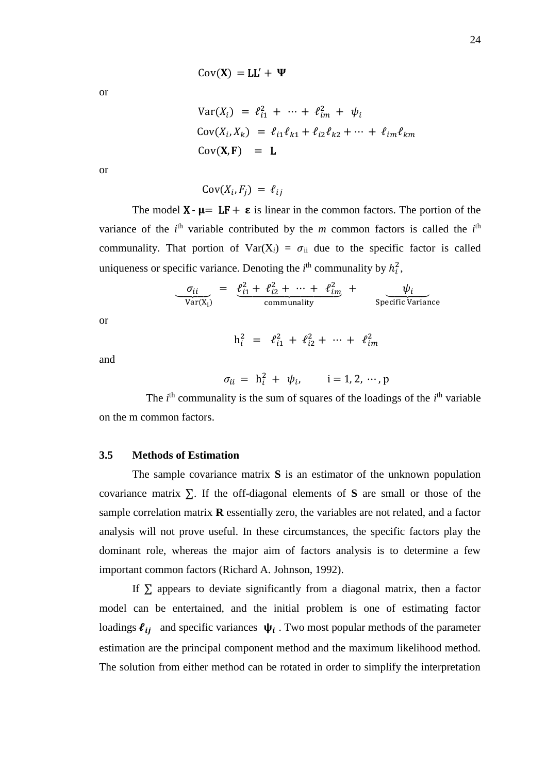or

$$
Var(X_i) = \ell_{i1}^2 + \dots + \ell_{im}^2 + \psi_i
$$
  
\n
$$
Cov(X_i, X_k) = \ell_{i1}\ell_{k1} + \ell_{i2}\ell_{k2} + \dots + \ell_{im}\ell_{km}
$$
  
\n
$$
Cov(\mathbf{X}, \mathbf{F}) = \mathbf{L}
$$

or

 $Cov(X_i, F_j) = \ell_{ij}$ 

The model  $X - \mu = LF + \varepsilon$  is linear in the common factors. The portion of the variance of the  $i<sup>th</sup>$  variable contributed by the *m* common factors is called the  $i<sup>th</sup>$ communality. That portion of  $Var(X_i) = \sigma_{ii}$  due to the specific factor is called uniqueness or specific variance. Denoting the  $i<sup>th</sup>$  communality by  $h_i^2$ ,

$$
\frac{\sigma_{ii}}{\text{Var}(X_i)} = \frac{\ell_{i1}^2 + \ell_{i2}^2 + \dots + \ell_{im}^2}{\text{communality}} + \frac{\psi_i}{\text{Specific Variance}}
$$

or

$$
h_i^2 = \ell_{i1}^2 + \ell_{i2}^2 + \cdots + \ell_{im}^2
$$

and

$$
\sigma_{ii} = h_i^2 + \psi_i, \qquad i = 1, 2, \cdots, p
$$

The  $i<sup>th</sup>$  communality is the sum of squares of the loadings of the  $i<sup>th</sup>$  variable on the m common factors.

#### **3.5 Methods of Estimation**

The sample covariance matrix **S** is an estimator of the unknown population covariance matrix ∑. If the off-diagonal elements of **S** are small or those of the sample correlation matrix **R** essentially zero, the variables are not related, and a factor analysis will not prove useful. In these circumstances, the specific factors play the dominant role, whereas the major aim of factors analysis is to determine a few important common factors (Richard A. Johnson, 1992).

If  $\Sigma$  appears to deviate significantly from a diagonal matrix, then a factor model can be entertained, and the initial problem is one of estimating factor loadings  $\ell_{ij}$  and specific variances  $\psi_i$ . Two most popular methods of the parameter estimation are the principal component method and the maximum likelihood method. The solution from either method can be rotated in order to simplify the interpretation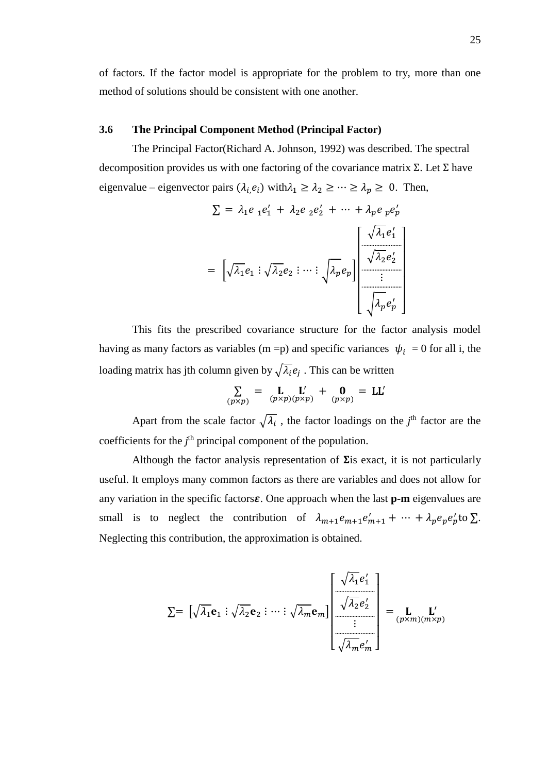of factors. If the factor model is appropriate for the problem to try, more than one method of solutions should be consistent with one another.

### **3.6 The Principal Component Method (Principal Factor)**

The Principal Factor(Richard A. Johnson, 1992) was described. The spectral decomposition provides us with one factoring of the covariance matrix  $\Sigma$ . Let  $\Sigma$  have eigenvalue – eigenvector pairs  $(\lambda_i, e_i)$  with $\lambda_1 \geq \lambda_2 \geq \cdots \geq \lambda_p \geq 0$ . Then,

$$
\Sigma = \lambda_1 e_1 e_1' + \lambda_2 e_2 e_2' + \dots + \lambda_p e_p e_p'
$$

$$
= \left[ \sqrt{\lambda_1} e_1 : \sqrt{\lambda_2} e_2 : \dots : \sqrt{\lambda_p} e_p \right] \begin{bmatrix} \sqrt{\lambda_1} e_1' \\ \frac{\sqrt{\lambda_2} e_2'}{\vdots} \\ \frac{\sqrt{\lambda_p} e_p'}{\vdots} \end{bmatrix}
$$

This fits the prescribed covariance structure for the factor analysis model having as many factors as variables (m =p) and specific variances  $\psi_i = 0$  for all i, the loading matrix has jth column given by  $\sqrt{\lambda_i}e_j$  . This can be written

$$
\sum_{(p \times p)} = \mathbf{L}_{(p \times p)(p \times p)} \mathbf{L}' + \mathbf{0}_{(p \times p)} = \mathbf{L}\mathbf{L}'
$$

Apart from the scale factor  $\sqrt{\lambda_i}$ , the factor loadings on the *j*<sup>th</sup> factor are the coefficients for the *j*<sup>th</sup> principal component of the population.

Although the factor analysis representation of  $\Sigma$ is exact, it is not particularly useful. It employs many common factors as there are variables and does not allow for any variation in the specific factors $\varepsilon$ . One approach when the last  $p$ -m eigenvalues are small is to neglect the contribution of  $\lambda_{m+1} e_{m+1} + \cdots + \lambda_p e_p e_p'$  to  $\Sigma$ . Neglecting this contribution, the approximation is obtained.

$$
\Sigma = \left[ \sqrt{\lambda_1} \mathbf{e}_1 : \sqrt{\lambda_2} \mathbf{e}_2 : \cdots : \sqrt{\lambda_m} \mathbf{e}_m \right] \begin{bmatrix} \sqrt{\lambda_1} e'_1 \\ \frac{\sqrt{\lambda_2} e'_2}{\sqrt{\lambda_2} e'_2} \\ \vdots \\ \frac{\sqrt{\lambda_m} e'_m}{\sqrt{\lambda_m} e'_m} \end{bmatrix} = \mathbf{L} \mathbf{L}'_{(p \times m)(m \times p)}
$$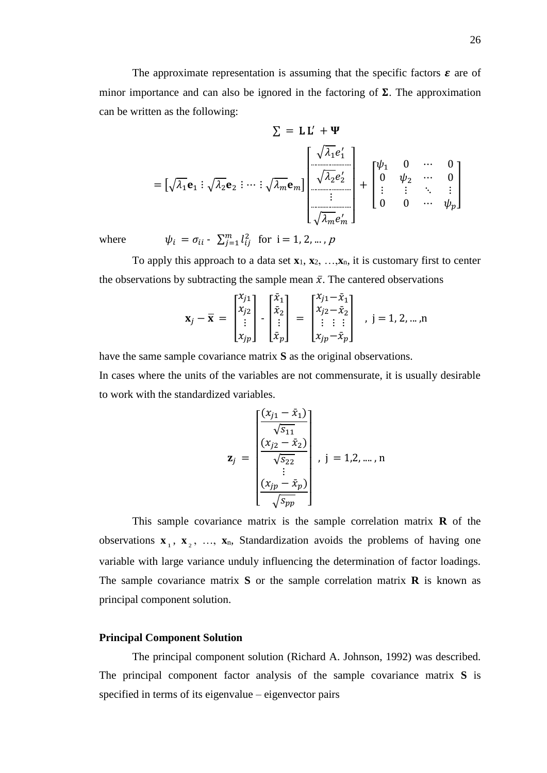The approximate representation is assuming that the specific factors  $\varepsilon$  are of minor importance and can also be ignored in the factoring of  $\Sigma$ . The approximation can be written as the following:

$$
\Sigma = \mathbf{L} \mathbf{L}' + \mathbf{\Psi}
$$

$$
= \left[ \sqrt{\lambda_1} \mathbf{e}_1 : \sqrt{\lambda_2} \mathbf{e}_2 : \cdots : \sqrt{\lambda_m} \mathbf{e}_m \right] \begin{bmatrix} \sqrt{\lambda_1} e'_1 \\ \sqrt{\lambda_2} e'_2 \\ \vdots \\ \frac{\cdots}{\cdots} \\ \sqrt{\lambda_m} e'_m \end{bmatrix} + \begin{bmatrix} \psi_1 & 0 & \cdots & 0 \\ 0 & \psi_2 & \cdots & 0 \\ \vdots & \vdots & \ddots & \vdots \\ 0 & 0 & \cdots & \psi_p \end{bmatrix}
$$

where  $\psi_i = \sigma_{ii} - \sum_{j=1}^m l_{ij}^2$  for  $i = 1, 2, ..., p$ 

To apply this approach to a data set  $\mathbf{x}_1, \mathbf{x}_2, \ldots, \mathbf{x}_n$ , it is customary first to center the observations by subtracting the sample mean  $\bar{x}$ . The cantered observations

$$
\mathbf{x}_{j} - \overline{\mathbf{x}} = \begin{bmatrix} x_{j1} \\ x_{j2} \\ \vdots \\ x_{jp} \end{bmatrix} - \begin{bmatrix} \overline{x}_{1} \\ \overline{x}_{2} \\ \vdots \\ \overline{x}_{p} \end{bmatrix} = \begin{bmatrix} x_{j1} - \overline{x}_{1} \\ x_{j2} - \overline{x}_{2} \\ \vdots \\ x_{jp} - \overline{x}_{p} \end{bmatrix} , j = 1, 2, ..., n
$$

have the same sample covariance matrix **S** as the original observations.

In cases where the units of the variables are not commensurate, it is usually desirable to work with the standardized variables.

$$
\mathbf{z}_{j} = \begin{bmatrix} \frac{(x_{j1} - \bar{x}_1)}{\sqrt{s_{11}}} \\ \frac{(x_{j2} - \bar{x}_2)}{\sqrt{s_{22}}} \\ \vdots \\ \frac{(x_{jp} - \bar{x}_p)}{\sqrt{s_{pp}}} \end{bmatrix}, j = 1, 2, \dots, n
$$

This sample covariance matrix is the sample correlation matrix **R** of the observations  $\mathbf{x}_1, \mathbf{x}_2, \ldots, \mathbf{x}_n$ , Standardization avoids the problems of having one variable with large variance unduly influencing the determination of factor loadings. The sample covariance matrix **S** or the sample correlation matrix **R** is known as principal component solution.

#### **Principal Component Solution**

The principal component solution (Richard A. Johnson, 1992) was described. The principal component factor analysis of the sample covariance matrix **S** is specified in terms of its eigenvalue – eigenvector pairs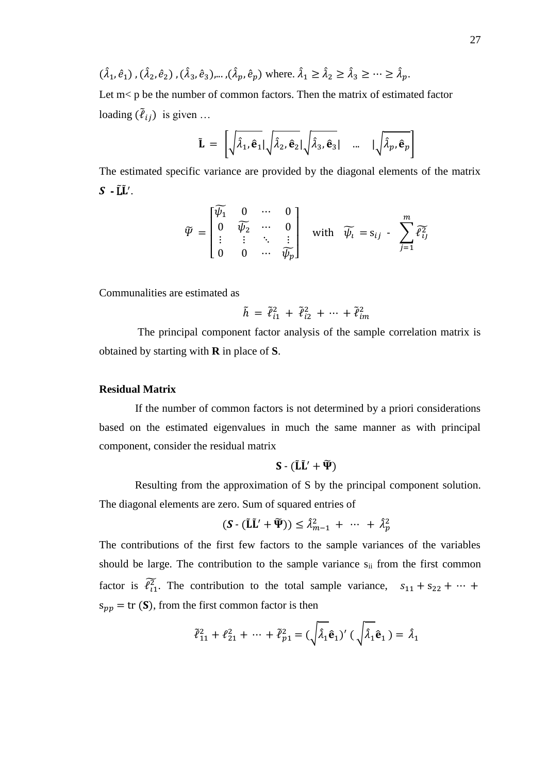$$
(\hat{\lambda}_1, \hat{e}_1), (\hat{\lambda}_2, \hat{e}_2), (\hat{\lambda}_3, \hat{e}_3), \dots, (\hat{\lambda}_p, \hat{e}_p)
$$
 where  $\hat{\lambda}_1 \ge \hat{\lambda}_2 \ge \hat{\lambda}_3 \ge \dots \ge \hat{\lambda}_p$ .

Let  $m$ < p be the number of common factors. Then the matrix of estimated factor loading  $(\tilde{\ell}_{ij})$  is given ...

$$
\tilde{\mathbf{L}} = \left[ \sqrt{\hat{\lambda}_1, \hat{\mathbf{e}}_1} | \sqrt{\hat{\lambda}_2, \hat{\mathbf{e}}_2} | \sqrt{\hat{\lambda}_3, \hat{\mathbf{e}}_3} | \dots | \sqrt{\hat{\lambda}_p, \hat{\mathbf{e}}_p} \right]
$$

The estimated specific variance are provided by the diagonal elements of the matrix  $S$  -  $\tilde{L}\tilde{L}'$ .

$$
\widetilde{\Psi} = \begin{bmatrix}\widetilde{\psi_1} & 0 & \cdots & 0 \\ 0 & \widetilde{\psi_2} & \cdots & 0 \\ \vdots & \vdots & \ddots & \vdots \\ 0 & 0 & \cdots & \widetilde{\psi_p}\end{bmatrix} \quad \text{with} \quad \widetilde{\psi_t} = s_{ij} - \sum_{j=1}^m \widetilde{\ell_{ij}^2}
$$

Communalities are estimated as

$$
\tilde{h} \,=\, \tilde{\ell}_{i1}^2 \,+\, \tilde{\ell}_{i2}^2 \,+\, \cdots \,+\, \tilde{\ell}_{im}^2
$$

 The principal component factor analysis of the sample correlation matrix is obtained by starting with **R** in place of **S**.

### **Residual Matrix**

If the number of common factors is not determined by a priori considerations based on the estimated eigenvalues in much the same manner as with principal component, consider the residual matrix

$$
S\cdot (\tilde{L}\tilde{L}' + \widetilde{\Psi})
$$

 Resulting from the approximation of S by the principal component solution. The diagonal elements are zero. Sum of squared entries of

$$
(\mathbf{S} \cdot (\tilde{\mathbf{L}}\tilde{\mathbf{L}}' + \tilde{\mathbf{\Psi}})) \leq \hat{\lambda}_{m-1}^2 + \cdots + \hat{\lambda}_p^2
$$

The contributions of the first few factors to the sample variances of the variables should be large. The contribution to the sample variance  $s_{ii}$  from the first common factor is  $\tilde{\ell}_{11}^2$ . The contribution to the total sample variance,  $s_{11} + s_{22} + \cdots$  $s_{\nu\nu}$  = tr (S), from the first common factor is then

$$
\tilde{\ell}_{11}^2 + \ell_{21}^2 + \cdots + \tilde{\ell}_{p1}^2 = (\sqrt{\hat{\lambda}_1} \hat{\mathbf{e}}_1)' (\sqrt{\hat{\lambda}_1} \hat{\mathbf{e}}_1) = \hat{\lambda}_1
$$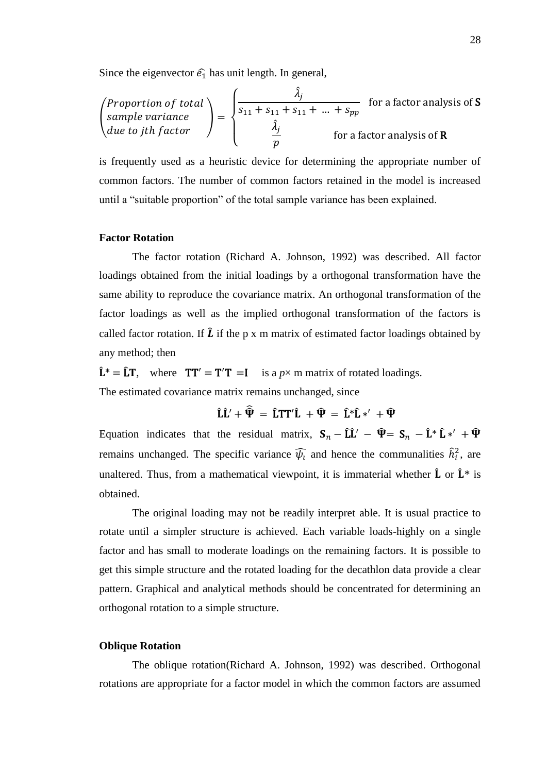Since the eigenvector  $\hat{e}_1$  has unit length. In general,

$$
\begin{pmatrix} Proportion of total \\ sample \ variance \\ due to jth factor \end{pmatrix} = \begin{cases} \frac{\hat{\lambda}_j}{s_{11} + s_{11} + s_{11} + \dots + s_{pp}} & \text{for a factor analysis of } S \\ \frac{\hat{\lambda}_j}{p} & \text{for a factor analysis of } R \end{cases}
$$

is frequently used as a heuristic device for determining the appropriate number of common factors. The number of common factors retained in the model is increased until a "suitable proportion" of the total sample variance has been explained.

#### **Factor Rotation**

The factor rotation (Richard A. Johnson, 1992) was described. All factor loadings obtained from the initial loadings by a orthogonal transformation have the same ability to reproduce the covariance matrix. An orthogonal transformation of the factor loadings as well as the implied orthogonal transformation of the factors is called factor rotation. If  $\hat{L}$  if the p x m matrix of estimated factor loadings obtained by any method; then

 $\hat{\mathbf{L}}^* = \hat{\mathbf{L}} \mathbf{T}$ , where  $\mathbf{T} \mathbf{T}' = \mathbf{T}' \mathbf{T} = \mathbf{I}$  is a  $p \times m$  matrix of rotated loadings. The estimated covariance matrix remains unchanged, since

$$
\hat{L}\hat{L}' + \widehat{\hat{\Psi}} = \hat{L}TT'\hat{L} + \hat{\Psi} = \hat{L}*\hat{L}*\hat{\ } + \hat{\Psi}
$$

Equation indicates that the residual matrix,  $S_n - \hat{L}\hat{L}' - \hat{\Psi} = S_n - \hat{L}^* \hat{L} *' + \hat{\Psi}$ remains unchanged. The specific variance  $\widehat{\psi}_l$  and hence the communalities  $\widehat{h}_i^2$ , are unaltered. Thus, from a mathematical viewpoint, it is immaterial whether  $\hat{L}$  or  $\hat{L}^*$  is obtained.

The original loading may not be readily interpret able. It is usual practice to rotate until a simpler structure is achieved. Each variable loads-highly on a single factor and has small to moderate loadings on the remaining factors. It is possible to get this simple structure and the rotated loading for the decathlon data provide a clear pattern. Graphical and analytical methods should be concentrated for determining an orthogonal rotation to a simple structure.

#### **Oblique Rotation**

The oblique rotation(Richard A. Johnson, 1992) was described. Orthogonal rotations are appropriate for a factor model in which the common factors are assumed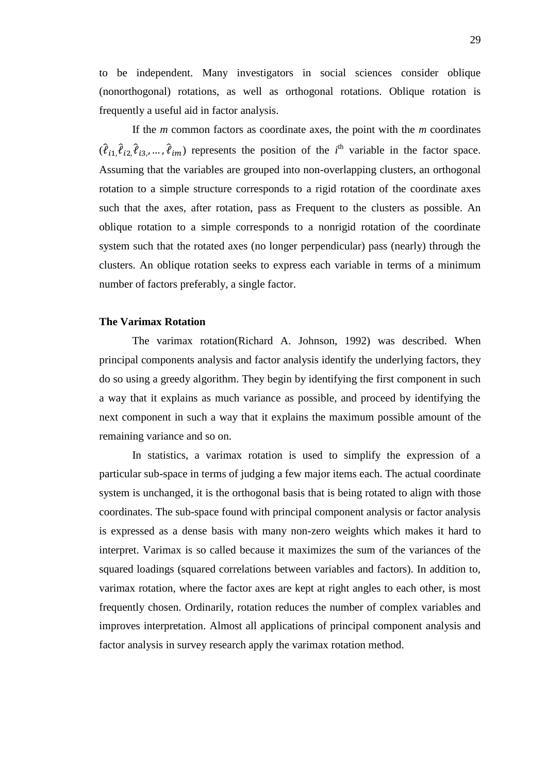to be independent. Many investigators in social sciences consider oblique (nonorthogonal) rotations, as well as orthogonal rotations. Oblique rotation is frequently a useful aid in factor analysis.

If the *m* common factors as coordinate axes, the point with the *m* coordinates  $(\hat{\ell}_{i1}, \hat{\ell}_{i2}, \hat{\ell}_{i3}, \dots, \hat{\ell}_{im})$  represents the position of the *i*<sup>th</sup> variable in the factor space. Assuming that the variables are grouped into non-overlapping clusters, an orthogonal rotation to a simple structure corresponds to a rigid rotation of the coordinate axes such that the axes, after rotation, pass as Frequent to the clusters as possible. An oblique rotation to a simple corresponds to a nonrigid rotation of the coordinate system such that the rotated axes (no longer perpendicular) pass (nearly) through the clusters. An oblique rotation seeks to express each variable in terms of a minimum number of factors preferably, a single factor.

#### **The Varimax Rotation**

The varimax rotation(Richard A. Johnson, 1992) was described. When principal components analysis and factor analysis identify the underlying factors, they do so using a greedy algorithm. They begin by identifying the first component in such a way that it explains as much variance as possible, and proceed by identifying the next component in such a way that it explains the maximum possible amount of the remaining variance and so on.

 In statistics, a varimax rotation is used to simplify the expression of a particular sub-space in terms of judging a few major items each. The actual coordinate system is unchanged, it is the orthogonal basis that is being rotated to align with those coordinates. The sub-space found with principal component analysis or factor analysis is expressed as a dense basis with many non-zero weights which makes it hard to interpret. Varimax is so called because it maximizes the sum of the variances of the squared loadings (squared correlations between variables and factors). In addition to, varimax rotation, where the factor axes are kept at right angles to each other, is most frequently chosen. Ordinarily, rotation reduces the number of complex variables and improves interpretation. Almost all applications of principal component analysis and factor analysis in survey research apply the varimax rotation method.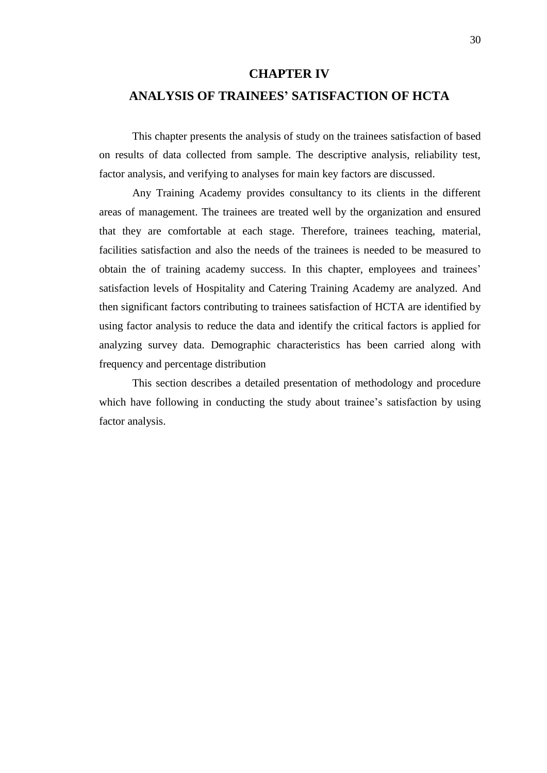### **CHAPTER IV**

### **ANALYSIS OF TRAINEES' SATISFACTION OF HCTA**

 This chapter presents the analysis of study on the trainees satisfaction of based on results of data collected from sample. The descriptive analysis, reliability test, factor analysis, and verifying to analyses for main key factors are discussed.

Any Training Academy provides consultancy to its clients in the different areas of management. The trainees are treated well by the organization and ensured that they are comfortable at each stage. Therefore, trainees teaching, material, facilities satisfaction and also the needs of the trainees is needed to be measured to obtain the of training academy success. In this chapter, employees and trainees' satisfaction levels of Hospitality and Catering Training Academy are analyzed. And then significant factors contributing to trainees satisfaction of HCTA are identified by using factor analysis to reduce the data and identify the critical factors is applied for analyzing survey data. Demographic characteristics has been carried along with frequency and percentage distribution

This section describes a detailed presentation of methodology and procedure which have following in conducting the study about trainee's satisfaction by using factor analysis.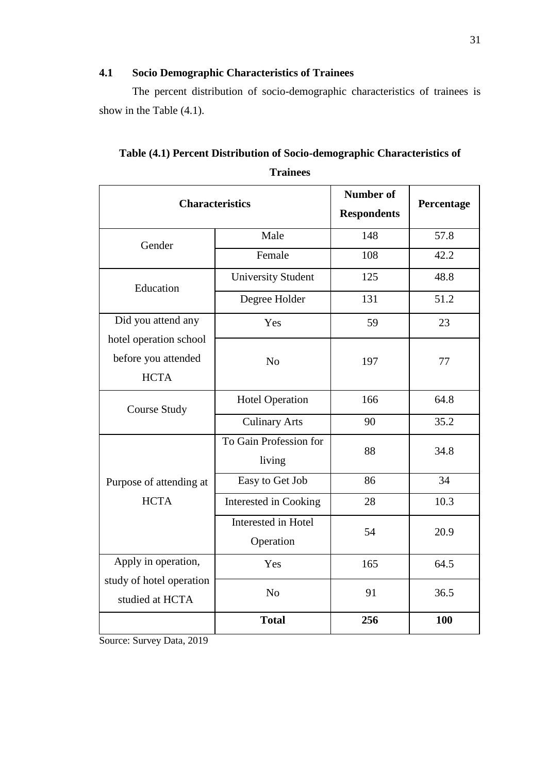### **4.1 Socio Demographic Characteristics of Trainees**

 The percent distribution of socio-demographic characteristics of trainees is show in the Table (4.1).

| <b>Characteristics</b>                                       | <b>Number of</b><br><b>Respondents</b> | Percentage |      |
|--------------------------------------------------------------|----------------------------------------|------------|------|
| Gender                                                       | Male                                   | 148        | 57.8 |
|                                                              | Female                                 | 108        | 42.2 |
| Education                                                    | <b>University Student</b>              | 125        | 48.8 |
|                                                              | Degree Holder                          | 131        | 51.2 |
| Did you attend any                                           | Yes                                    | 59         | 23   |
| hotel operation school<br>before you attended<br><b>HCTA</b> | N <sub>o</sub>                         | 197        | 77   |
| <b>Course Study</b>                                          | Hotel Operation                        | 166        | 64.8 |
|                                                              | <b>Culinary Arts</b>                   | 90         | 35.2 |
|                                                              | To Gain Profession for<br>living       | 88         | 34.8 |
| Purpose of attending at                                      | Easy to Get Job                        | 86         | 34   |
| <b>HCTA</b>                                                  | Interested in Cooking                  | 28         | 10.3 |
|                                                              | Interested in Hotel<br>Operation       | 54         | 20.9 |
| Apply in operation,                                          | Yes                                    | 165        | 64.5 |
| study of hotel operation<br>studied at HCTA                  | N <sub>o</sub>                         | 91         | 36.5 |
|                                                              | <b>Total</b>                           | 256        | 100  |

| Table (4.1) Percent Distribution of Socio-demographic Characteristics of |
|--------------------------------------------------------------------------|
| <b>Trainees</b>                                                          |

Source: Survey Data, 2019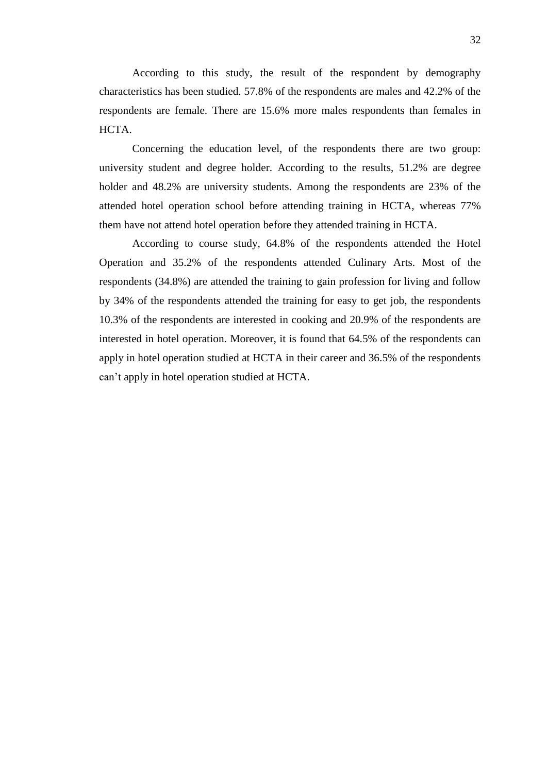According to this study, the result of the respondent by demography characteristics has been studied. 57.8% of the respondents are males and 42.2% of the respondents are female. There are 15.6% more males respondents than females in HCTA.

Concerning the education level, of the respondents there are two group: university student and degree holder. According to the results, 51.2% are degree holder and 48.2% are university students. Among the respondents are 23% of the attended hotel operation school before attending training in HCTA, whereas 77% them have not attend hotel operation before they attended training in HCTA.

 According to course study, 64.8% of the respondents attended the Hotel Operation and 35.2% of the respondents attended Culinary Arts. Most of the respondents (34.8%) are attended the training to gain profession for living and follow by 34% of the respondents attended the training for easy to get job, the respondents 10.3% of the respondents are interested in cooking and 20.9% of the respondents are interested in hotel operation. Moreover, it is found that 64.5% of the respondents can apply in hotel operation studied at HCTA in their career and 36.5% of the respondents can't apply in hotel operation studied at HCTA.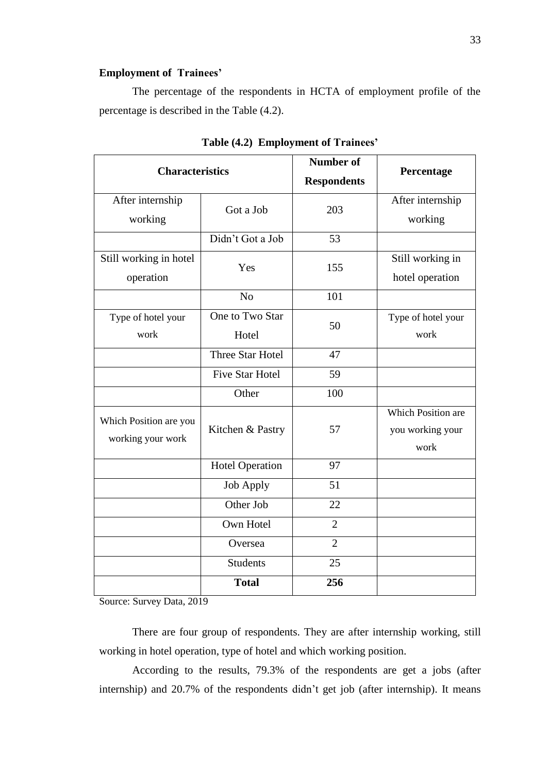### **Employment of Trainees'**

 The percentage of the respondents in HCTA of employment profile of the percentage is described in the Table (4.2).

| <b>Characteristics</b> |                        | <b>Number of</b>   | Percentage         |
|------------------------|------------------------|--------------------|--------------------|
|                        |                        | <b>Respondents</b> |                    |
| After internship       | Got a Job              | 203                | After internship   |
| working                |                        |                    | working            |
|                        | Didn't Got a Job       | 53                 |                    |
| Still working in hotel | Yes                    | 155                | Still working in   |
| operation              |                        |                    | hotel operation    |
|                        | N <sub>o</sub>         | 101                |                    |
| Type of hotel your     | One to Two Star        | 50                 | Type of hotel your |
| work                   | Hotel                  |                    | work               |
|                        | Three Star Hotel       | 47                 |                    |
|                        | <b>Five Star Hotel</b> | 59                 |                    |
|                        | Other                  | 100                |                    |
| Which Position are you | Kitchen & Pastry       | 57                 | Which Position are |
| working your work      |                        |                    | you working your   |
|                        |                        |                    | work               |
|                        | <b>Hotel Operation</b> | 97                 |                    |
|                        | <b>Job Apply</b>       | 51                 |                    |
|                        | Other Job              | 22                 |                    |
|                        | Own Hotel              | $\overline{2}$     |                    |
|                        | Oversea                | $\overline{2}$     |                    |
|                        | <b>Students</b>        | 25                 |                    |
|                        | <b>Total</b>           | 256                |                    |

**Table (4.2) Employment of Trainees'**

Source: Survey Data, 2019

There are four group of respondents. They are after internship working, still working in hotel operation, type of hotel and which working position.

According to the results, 79.3% of the respondents are get a jobs (after internship) and 20.7% of the respondents didn't get job (after internship). It means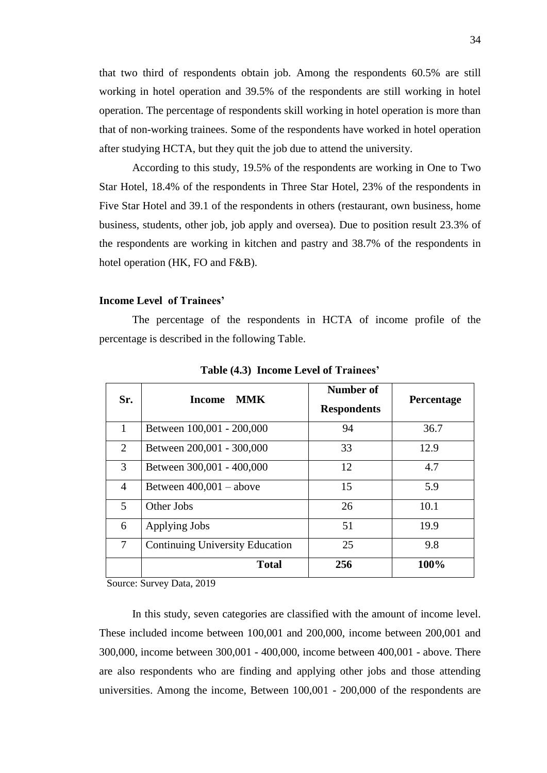that two third of respondents obtain job. Among the respondents 60.5% are still working in hotel operation and 39.5% of the respondents are still working in hotel operation. The percentage of respondents skill working in hotel operation is more than that of non-working trainees. Some of the respondents have worked in hotel operation after studying HCTA, but they quit the job due to attend the university.

According to this study, 19.5% of the respondents are working in One to Two Star Hotel, 18.4% of the respondents in Three Star Hotel, 23% of the respondents in Five Star Hotel and 39.1 of the respondents in others (restaurant, own business, home business, students, other job, job apply and oversea). Due to position result 23.3% of the respondents are working in kitchen and pastry and 38.7% of the respondents in hotel operation (HK, FO and F&B).

#### **Income Level of Trainees'**

 The percentage of the respondents in HCTA of income profile of the percentage is described in the following Table.

| Sr.            | MMK<br><b>Income</b>                   | Number of<br><b>Respondents</b> | Percentage |
|----------------|----------------------------------------|---------------------------------|------------|
| 1              | Between 100,001 - 200,000              | 94                              | 36.7       |
| 2              | Between 200,001 - 300,000              | 33                              | 12.9       |
| 3              | Between 300,001 - 400,000              | 12                              | 4.7        |
| 4              | Between $400,001 - above$              | 15                              | 5.9        |
| $\mathfrak{H}$ | Other Jobs                             | 26                              | 10.1       |
| 6              | Applying Jobs                          | 51                              | 19.9       |
| 7              | <b>Continuing University Education</b> | 25                              | 9.8        |
|                | <b>Total</b>                           | 256                             | 100%       |

**Table (4.3) Income Level of Trainees'**

Source: Survey Data, 2019

In this study, seven categories are classified with the amount of income level. These included income between 100,001 and 200,000, income between 200,001 and 300,000, income between 300,001 - 400,000, income between 400,001 - above. There are also respondents who are finding and applying other jobs and those attending universities. Among the income, Between 100,001 - 200,000 of the respondents are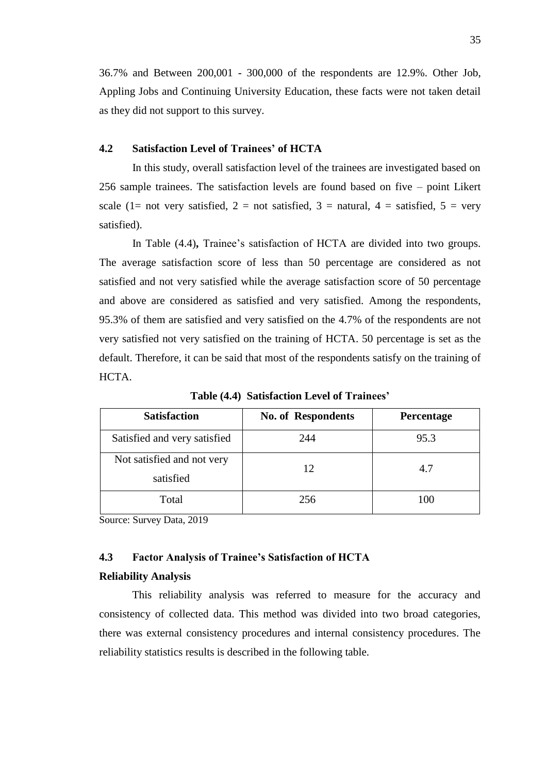36.7% and Between 200,001 - 300,000 of the respondents are 12.9%. Other Job, Appling Jobs and Continuing University Education, these facts were not taken detail as they did not support to this survey.

### **4.2 Satisfaction Level of Trainees' of HCTA**

 In this study, overall satisfaction level of the trainees are investigated based on 256 sample trainees. The satisfaction levels are found based on five – point Likert scale (1= not very satisfied, 2 = not satisfied, 3 = natural, 4 = satisfied, 5 = very satisfied).

 In Table (4.4)**,** Trainee's satisfaction of HCTA are divided into two groups. The average satisfaction score of less than 50 percentage are considered as not satisfied and not very satisfied while the average satisfaction score of 50 percentage and above are considered as satisfied and very satisfied. Among the respondents, 95.3% of them are satisfied and very satisfied on the 4.7% of the respondents are not very satisfied not very satisfied on the training of HCTA. 50 percentage is set as the default. Therefore, it can be said that most of the respondents satisfy on the training of HCTA.

| <b>Satisfaction</b>                     | <b>No. of Respondents</b> | Percentage |
|-----------------------------------------|---------------------------|------------|
| Satisfied and very satisfied            | 244                       | 95.3       |
| Not satisfied and not very<br>satisfied | 12                        | 4.7        |
| Total                                   | 256                       | 100        |

**Table (4.4) Satisfaction Level of Trainees'**

Source: Survey Data, 2019

### **4.3 Factor Analysis of Trainee's Satisfaction of HCTA**

#### **Reliability Analysis**

 This reliability analysis was referred to measure for the accuracy and consistency of collected data. This method was divided into two broad categories, there was external consistency procedures and internal consistency procedures. The reliability statistics results is described in the following table.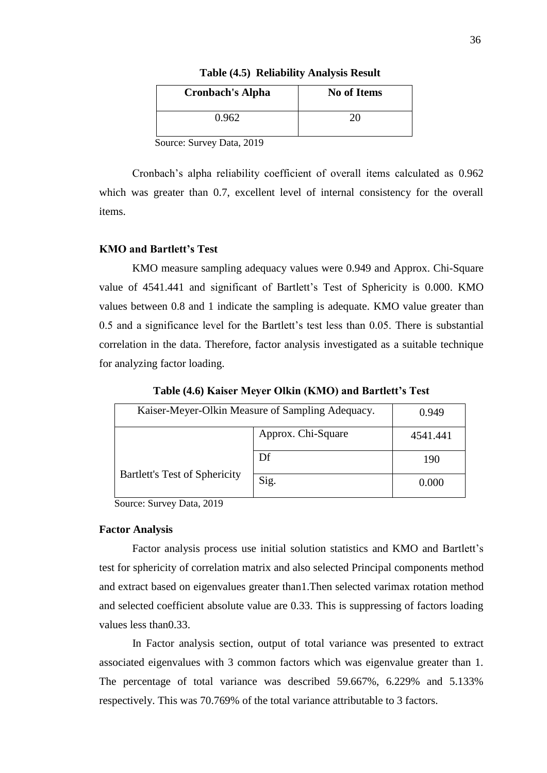| <b>Cronbach's Alpha</b> | <b>No of Items</b> |
|-------------------------|--------------------|
| 0.962                   | 26                 |

**Table (4.5) Reliability Analysis Result**

Source: Survey Data, 2019

Cronbach's alpha reliability coefficient of overall items calculated as 0.962 which was greater than 0.7, excellent level of internal consistency for the overall items.

### **KMO and Bartlett's Test**

 KMO measure sampling adequacy values were 0.949 and Approx. Chi-Square value of 4541.441 and significant of Bartlett's Test of Sphericity is 0.000. KMO values between 0.8 and 1 indicate the sampling is adequate. KMO value greater than 0.5 and a significance level for the Bartlett's test less than 0.05. There is substantial correlation in the data. Therefore, factor analysis investigated as a suitable technique for analyzing factor loading.

| Kaiser-Meyer-Olkin Measure of Sampling Adequacy. |      | 0.949    |
|--------------------------------------------------|------|----------|
| Approx. Chi-Square                               |      | 4541.441 |
|                                                  | Df   | 190      |
| <b>Bartlett's Test of Sphericity</b>             | Sig. | 0.000    |

**Table (4.6) Kaiser Meyer Olkin (KMO) and Bartlett's Test**

Source: Survey Data, 2019

#### **Factor Analysis**

 Factor analysis process use initial solution statistics and KMO and Bartlett's test for sphericity of correlation matrix and also selected Principal components method and extract based on eigenvalues greater than1.Then selected varimax rotation method and selected coefficient absolute value are 0.33. This is suppressing of factors loading values less than0.33.

 In Factor analysis section, output of total variance was presented to extract associated eigenvalues with 3 common factors which was eigenvalue greater than 1. The percentage of total variance was described 59.667%, 6.229% and 5.133% respectively. This was 70.769% of the total variance attributable to 3 factors.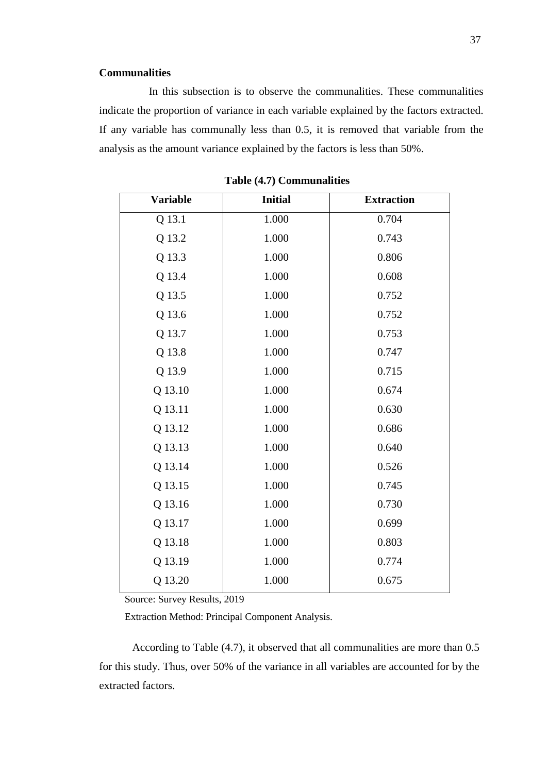### **Communalities**

 In this subsection is to observe the communalities. These communalities indicate the proportion of variance in each variable explained by the factors extracted. If any variable has communally less than 0.5, it is removed that variable from the analysis as the amount variance explained by the factors is less than 50%.

| <b>Variable</b> | <b>Initial</b> | <b>Extraction</b> |
|-----------------|----------------|-------------------|
| Q 13.1          | 1.000          | 0.704             |
| Q 13.2          | 1.000          | 0.743             |
| Q 13.3          | 1.000          | 0.806             |
| Q 13.4          | 1.000          | 0.608             |
| Q 13.5          | 1.000          | 0.752             |
| Q 13.6          | 1.000          | 0.752             |
| Q 13.7          | 1.000          | 0.753             |
| Q 13.8          | 1.000          | 0.747             |
| Q 13.9          | 1.000          | 0.715             |
| Q 13.10         | 1.000          | 0.674             |
| Q 13.11         | 1.000          | 0.630             |
| Q 13.12         | 1.000          | 0.686             |
| Q 13.13         | 1.000          | 0.640             |
| Q 13.14         | 1.000          | 0.526             |
| Q 13.15         | 1.000          | 0.745             |
| Q 13.16         | 1.000          | 0.730             |
| Q 13.17         | 1.000          | 0.699             |
| Q 13.18         | 1.000          | 0.803             |
| Q 13.19         | 1.000          | 0.774             |
| Q 13.20         | 1.000          | 0.675             |

**Table (4.7) Communalities**

Source: Survey Results, 2019

Extraction Method: Principal Component Analysis.

According to Table (4.7), it observed that all communalities are more than 0.5 for this study. Thus, over 50% of the variance in all variables are accounted for by the extracted factors.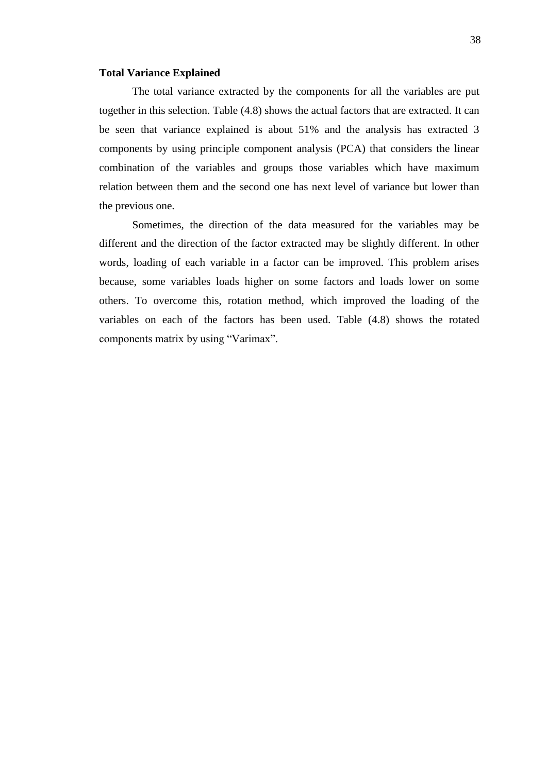#### **Total Variance Explained**

The total variance extracted by the components for all the variables are put together in this selection. Table (4.8) shows the actual factors that are extracted. It can be seen that variance explained is about 51% and the analysis has extracted 3 components by using principle component analysis (PCA) that considers the linear combination of the variables and groups those variables which have maximum relation between them and the second one has next level of variance but lower than the previous one.

 Sometimes, the direction of the data measured for the variables may be different and the direction of the factor extracted may be slightly different. In other words, loading of each variable in a factor can be improved. This problem arises because, some variables loads higher on some factors and loads lower on some others. To overcome this, rotation method, which improved the loading of the variables on each of the factors has been used. Table (4.8) shows the rotated components matrix by using "Varimax".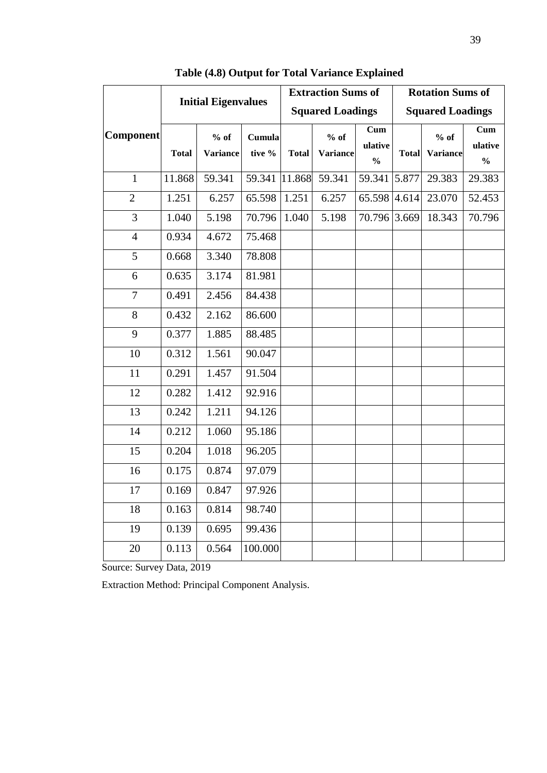|                  |              | <b>Initial Eigenvalues</b> |                  | <b>Extraction Sums of</b><br><b>Rotation Sums of</b> |                           |                                 |              |                           |                                 |
|------------------|--------------|----------------------------|------------------|------------------------------------------------------|---------------------------|---------------------------------|--------------|---------------------------|---------------------------------|
|                  |              |                            |                  |                                                      | <b>Squared Loadings</b>   |                                 |              | <b>Squared Loadings</b>   |                                 |
| <b>Component</b> | <b>Total</b> | $%$ of<br><b>Variance</b>  | Cumula<br>tive % | <b>Total</b>                                         | $%$ of<br><b>Variance</b> | Cum<br>ulative<br>$\frac{0}{0}$ | <b>Total</b> | $%$ of<br><b>Variance</b> | Cum<br>ulative<br>$\frac{0}{0}$ |
| $\mathbf{1}$     | 11.868       | 59.341                     | 59.341           | 11.868                                               | 59.341                    | 59.341                          | 5.877        | 29.383                    | 29.383                          |
| $\overline{2}$   | 1.251        | 6.257                      | 65.598           | 1.251                                                | 6.257                     | 65.598                          | 4.614        | 23.070                    | 52.453                          |
| 3                | 1.040        | 5.198                      | 70.796           | 1.040                                                | 5.198                     | 70.796 3.669                    |              | 18.343                    | 70.796                          |
| $\overline{4}$   | 0.934        | 4.672                      | 75.468           |                                                      |                           |                                 |              |                           |                                 |
| 5                | 0.668        | 3.340                      | 78.808           |                                                      |                           |                                 |              |                           |                                 |
| 6                | 0.635        | 3.174                      | 81.981           |                                                      |                           |                                 |              |                           |                                 |
| $\overline{7}$   | 0.491        | 2.456                      | 84.438           |                                                      |                           |                                 |              |                           |                                 |
| 8                | 0.432        | 2.162                      | 86.600           |                                                      |                           |                                 |              |                           |                                 |
| 9                | 0.377        | 1.885                      | 88.485           |                                                      |                           |                                 |              |                           |                                 |
| 10               | 0.312        | 1.561                      | 90.047           |                                                      |                           |                                 |              |                           |                                 |
| 11               | 0.291        | 1.457                      | 91.504           |                                                      |                           |                                 |              |                           |                                 |
| 12               | 0.282        | 1.412                      | 92.916           |                                                      |                           |                                 |              |                           |                                 |
| 13               | 0.242        | 1.211                      | 94.126           |                                                      |                           |                                 |              |                           |                                 |
| 14               | 0.212        | 1.060                      | 95.186           |                                                      |                           |                                 |              |                           |                                 |
| 15               | 0.204        | 1.018                      | 96.205           |                                                      |                           |                                 |              |                           |                                 |
| 16               | 0.175        | 0.874                      | 97.079           |                                                      |                           |                                 |              |                           |                                 |
| 17               | 0.169        | 0.847                      | 97.926           |                                                      |                           |                                 |              |                           |                                 |
| 18               | 0.163        | 0.814                      | 98.740           |                                                      |                           |                                 |              |                           |                                 |
| 19               | 0.139        | 0.695                      | 99.436           |                                                      |                           |                                 |              |                           |                                 |
| 20               | 0.113        | 0.564                      | 100.000          |                                                      |                           |                                 |              |                           |                                 |

**Table (4.8) Output for Total Variance Explained** 

Source: Survey Data, 2019

Extraction Method: Principal Component Analysis.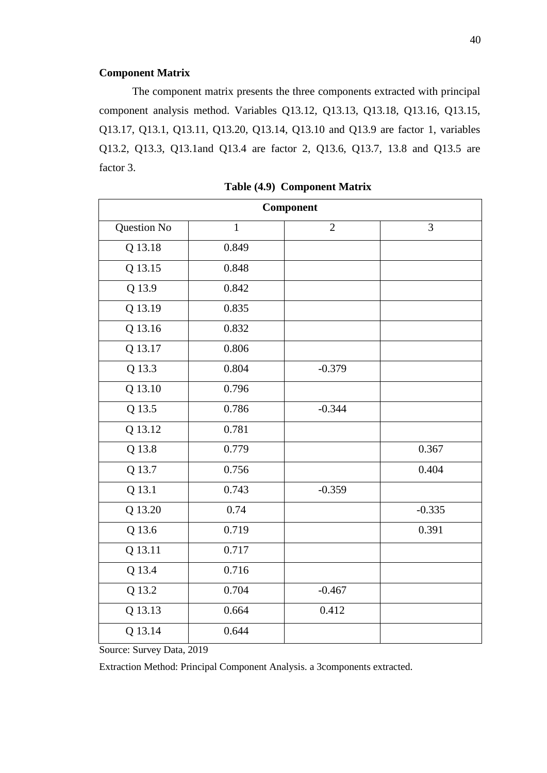### **Component Matrix**

 The component matrix presents the three components extracted with principal component analysis method. Variables Q13.12, Q13.13, Q13.18, Q13.16, Q13.15, Q13.17, Q13.1, Q13.11, Q13.20, Q13.14, Q13.10 and Q13.9 are factor 1, variables Q13.2, Q13.3, Q13.1and Q13.4 are factor 2, Q13.6, Q13.7, 13.8 and Q13.5 are factor 3.

| Component   |              |                |          |  |  |
|-------------|--------------|----------------|----------|--|--|
| Question No | $\mathbf{1}$ | $\overline{2}$ | 3        |  |  |
| Q 13.18     | 0.849        |                |          |  |  |
| Q 13.15     | 0.848        |                |          |  |  |
| Q 13.9      | 0.842        |                |          |  |  |
| Q 13.19     | 0.835        |                |          |  |  |
| Q 13.16     | 0.832        |                |          |  |  |
| Q 13.17     | 0.806        |                |          |  |  |
| Q 13.3      | 0.804        | $-0.379$       |          |  |  |
| Q 13.10     | 0.796        |                |          |  |  |
| Q 13.5      | 0.786        | $-0.344$       |          |  |  |
| Q 13.12     | 0.781        |                |          |  |  |
| Q 13.8      | 0.779        |                | 0.367    |  |  |
| Q 13.7      | 0.756        |                | 0.404    |  |  |
| Q 13.1      | 0.743        | $-0.359$       |          |  |  |
| Q 13.20     | 0.74         |                | $-0.335$ |  |  |
| Q 13.6      | 0.719        |                | 0.391    |  |  |
| Q 13.11     | 0.717        |                |          |  |  |
| Q 13.4      | 0.716        |                |          |  |  |
| Q 13.2      | 0.704        | $-0.467$       |          |  |  |
| Q 13.13     | 0.664        | 0.412          |          |  |  |
| Q 13.14     | 0.644        |                |          |  |  |

 **Table (4.9) Component Matrix**

Source: Survey Data, 2019

Extraction Method: Principal Component Analysis. a 3components extracted.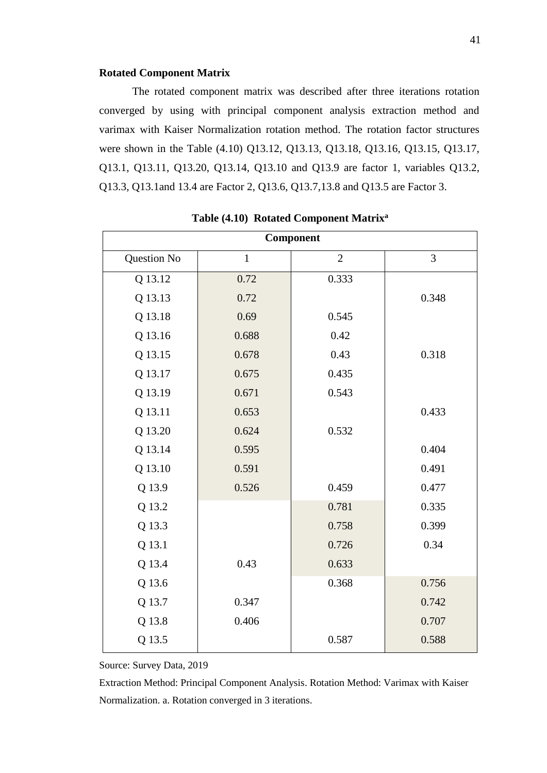#### **Rotated Component Matrix**

The rotated component matrix was described after three iterations rotation converged by using with principal component analysis extraction method and varimax with Kaiser Normalization rotation method. The rotation factor structures were shown in the Table (4.10) Q13.12, Q13.13, Q13.18, Q13.16, Q13.15, Q13.17, Q13.1, Q13.11, Q13.20, Q13.14, Q13.10 and Q13.9 are factor 1, variables Q13.2, Q13.3, Q13.1and 13.4 are Factor 2, Q13.6, Q13.7,13.8 and Q13.5 are Factor 3.

| Component   |              |                |                |  |  |
|-------------|--------------|----------------|----------------|--|--|
| Question No | $\mathbf{1}$ | $\overline{2}$ | $\overline{3}$ |  |  |
| Q 13.12     | 0.72         | 0.333          |                |  |  |
| Q 13.13     | 0.72         |                | 0.348          |  |  |
| Q 13.18     | 0.69         | 0.545          |                |  |  |
| Q 13.16     | 0.688        | 0.42           |                |  |  |
| Q 13.15     | 0.678        | 0.43           | 0.318          |  |  |
| Q 13.17     | 0.675        | 0.435          |                |  |  |
| Q 13.19     | 0.671        | 0.543          |                |  |  |
| Q 13.11     | 0.653        |                | 0.433          |  |  |
| Q 13.20     | 0.624        | 0.532          |                |  |  |
| Q 13.14     | 0.595        |                | 0.404          |  |  |
| Q 13.10     | 0.591        |                | 0.491          |  |  |
| Q 13.9      | 0.526        | 0.459          | 0.477          |  |  |
| Q 13.2      |              | 0.781          | 0.335          |  |  |
| Q 13.3      |              | 0.758          | 0.399          |  |  |
| Q 13.1      |              | 0.726          | 0.34           |  |  |
| Q 13.4      | 0.43         | 0.633          |                |  |  |
| Q 13.6      |              | 0.368          | 0.756          |  |  |
| Q 13.7      | 0.347        |                | 0.742          |  |  |
| Q 13.8      | 0.406        |                | 0.707          |  |  |
| Q 13.5      |              | 0.587          | 0.588          |  |  |

**Table (4.10) Rotated Component Matrix<sup>a</sup>**

Source: Survey Data, 2019

Extraction Method: Principal Component Analysis. Rotation Method: Varimax with Kaiser Normalization. a. Rotation converged in 3 iterations.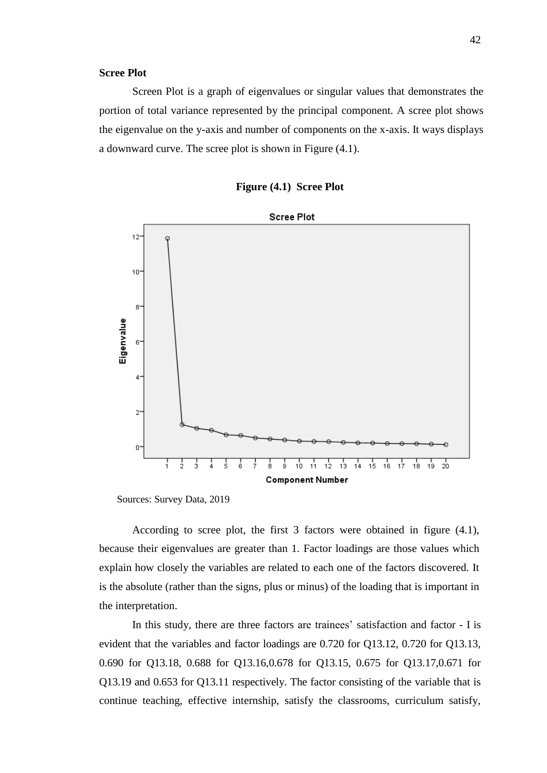#### **Scree Plot**

 Screen Plot is a graph of eigenvalues or singular values that demonstrates the portion of total variance represented by the principal component. A scree plot shows the eigenvalue on the y-axis and number of components on the x-axis. It ways displays a downward curve. The scree plot is shown in Figure (4.1).

| <b>Figure (4.1) Scree Plot</b> |  |  |  |
|--------------------------------|--|--|--|
|--------------------------------|--|--|--|



Sources: Survey Data, 2019

 According to scree plot, the first 3 factors were obtained in figure (4.1), because their eigenvalues are greater than 1. Factor loadings are those values which explain how closely the variables are related to each one of the factors discovered. It is the absolute (rather than the signs, plus or minus) of the loading that is important in the interpretation.

In this study, there are three factors are trainees' satisfaction and factor - I is evident that the variables and factor loadings are 0.720 for Q13.12, 0.720 for Q13.13, 0.690 for Q13.18, 0.688 for Q13.16,0.678 for Q13.15, 0.675 for Q13.17,0.671 for Q13.19 and 0.653 for Q13.11 respectively. The factor consisting of the variable that is continue teaching, effective internship, satisfy the classrooms, curriculum satisfy,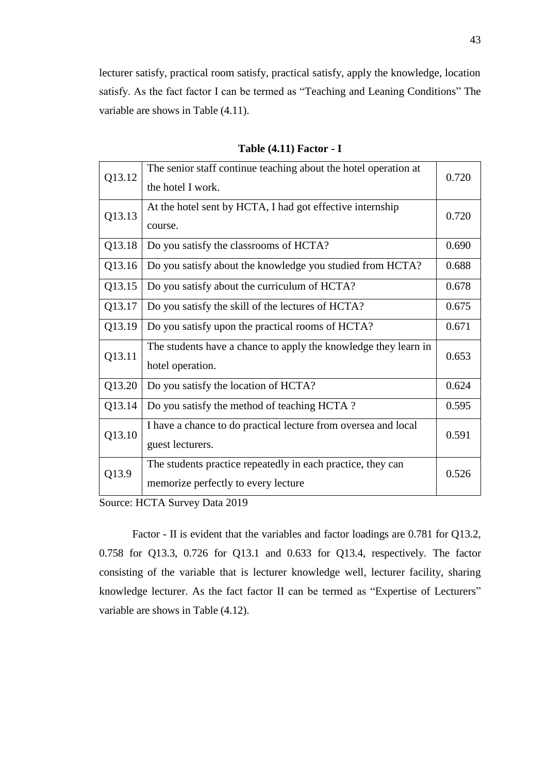lecturer satisfy, practical room satisfy, practical satisfy, apply the knowledge, location satisfy. As the fact factor I can be termed as "Teaching and Leaning Conditions" The variable are shows in Table (4.11).

| Q13.12 | The senior staff continue teaching about the hotel operation at<br>the hotel I work.               | 0.720 |
|--------|----------------------------------------------------------------------------------------------------|-------|
| Q13.13 | At the hotel sent by HCTA, I had got effective internship<br>course.                               | 0.720 |
| Q13.18 | Do you satisfy the classrooms of HCTA?                                                             | 0.690 |
| Q13.16 | Do you satisfy about the knowledge you studied from HCTA?                                          | 0.688 |
| Q13.15 | Do you satisfy about the curriculum of HCTA?                                                       | 0.678 |
| Q13.17 | Do you satisfy the skill of the lectures of HCTA?                                                  | 0.675 |
| Q13.19 | Do you satisfy upon the practical rooms of HCTA?                                                   | 0.671 |
| Q13.11 | The students have a chance to apply the knowledge they learn in<br>hotel operation.                | 0.653 |
| Q13.20 | Do you satisfy the location of HCTA?                                                               | 0.624 |
| Q13.14 | Do you satisfy the method of teaching HCTA?                                                        | 0.595 |
| Q13.10 | I have a chance to do practical lecture from oversea and local<br>guest lecturers.                 | 0.591 |
| Q13.9  | The students practice repeatedly in each practice, they can<br>memorize perfectly to every lecture | 0.526 |

**Table (4.11) Factor - I**

Source: HCTA Survey Data 2019

 Factor - II is evident that the variables and factor loadings are 0.781 for Q13.2, 0.758 for Q13.3, 0.726 for Q13.1 and 0.633 for Q13.4, respectively. The factor consisting of the variable that is lecturer knowledge well, lecturer facility, sharing knowledge lecturer. As the fact factor II can be termed as "Expertise of Lecturers" variable are shows in Table (4.12).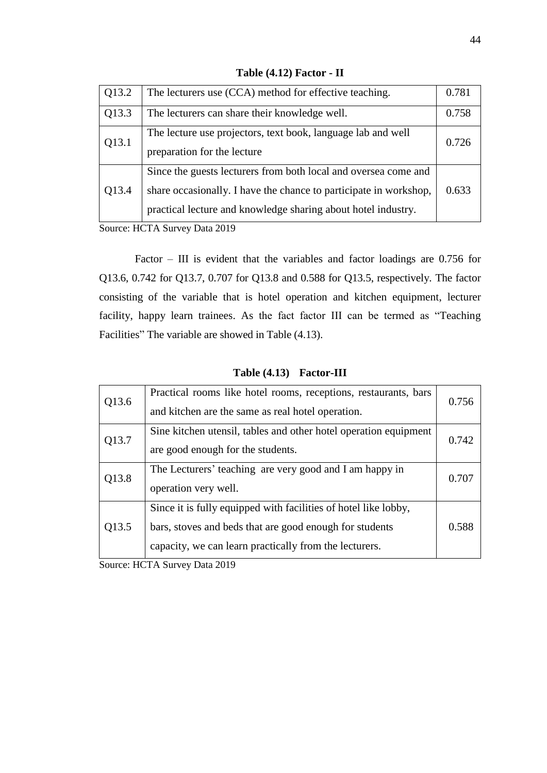| Q13.2 | The lecturers use (CCA) method for effective teaching.                                                                                                                                                | 0.781 |
|-------|-------------------------------------------------------------------------------------------------------------------------------------------------------------------------------------------------------|-------|
| Q13.3 | The lecturers can share their knowledge well.                                                                                                                                                         | 0.758 |
| Q13.1 | The lecture use projectors, text book, language lab and well<br>preparation for the lecture                                                                                                           | 0.726 |
| Q13.4 | Since the guests lecturers from both local and oversea come and<br>share occasionally. I have the chance to participate in workshop,<br>practical lecture and knowledge sharing about hotel industry. | 0.633 |

**Table (4.12) Factor - II**

Source: HCTA Survey Data 2019

Factor – III is evident that the variables and factor loadings are 0.756 for Q13.6, 0.742 for Q13.7, 0.707 for Q13.8 and 0.588 for Q13.5, respectively. The factor consisting of the variable that is hotel operation and kitchen equipment, lecturer facility, happy learn trainees. As the fact factor III can be termed as "Teaching Facilities" The variable are showed in Table (4.13).

| Q13.6 | Practical rooms like hotel rooms, receptions, restaurants, bars<br>and kitchen are the same as real hotel operation.                                                                 | 0.756 |
|-------|--------------------------------------------------------------------------------------------------------------------------------------------------------------------------------------|-------|
| Q13.7 | Sine kitchen utensil, tables and other hotel operation equipment<br>are good enough for the students.                                                                                | 0.742 |
| Q13.8 | The Lecturers' teaching are very good and I am happy in<br>operation very well.                                                                                                      | 0.707 |
| Q13.5 | Since it is fully equipped with facilities of hotel like lobby,<br>bars, stoves and beds that are good enough for students<br>capacity, we can learn practically from the lecturers. | 0.588 |

**Table (4.13) Factor-III**

Source: HCTA Survey Data 2019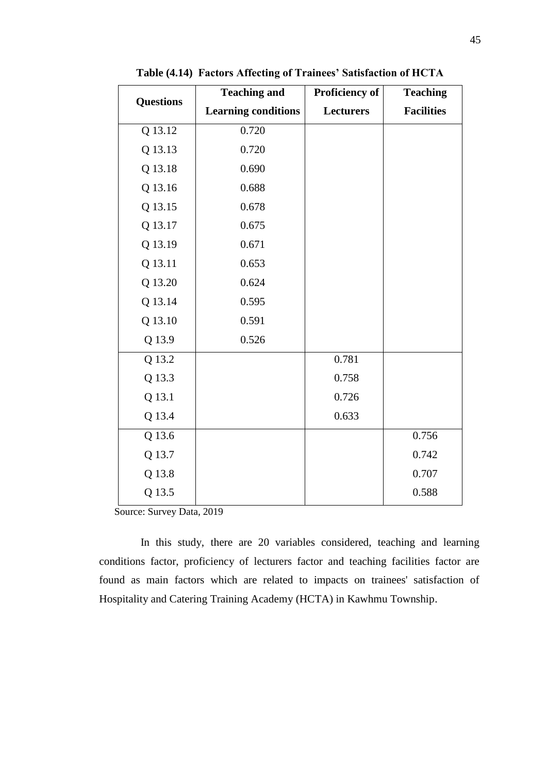| <b>Questions</b> | <b>Teaching and</b>        | Proficiency of   | <b>Teaching</b>   |
|------------------|----------------------------|------------------|-------------------|
|                  | <b>Learning conditions</b> | <b>Lecturers</b> | <b>Facilities</b> |
| Q 13.12          | 0.720                      |                  |                   |
| Q 13.13          | 0.720                      |                  |                   |
| Q 13.18          | 0.690                      |                  |                   |
| Q 13.16          | 0.688                      |                  |                   |
| Q 13.15          | 0.678                      |                  |                   |
| Q 13.17          | 0.675                      |                  |                   |
| Q 13.19          | 0.671                      |                  |                   |
| Q 13.11          | 0.653                      |                  |                   |
| Q 13.20          | 0.624                      |                  |                   |
| Q 13.14          | 0.595                      |                  |                   |
| Q 13.10          | 0.591                      |                  |                   |
| Q 13.9           | 0.526                      |                  |                   |
| Q 13.2           |                            | 0.781            |                   |
| Q 13.3           |                            | 0.758            |                   |
| Q 13.1           |                            | 0.726            |                   |
| Q 13.4           |                            | 0.633            |                   |
| Q 13.6           |                            |                  | 0.756             |
| Q 13.7           |                            |                  | 0.742             |
| Q 13.8           |                            |                  | 0.707             |
| Q 13.5           |                            |                  | 0.588             |

**Table (4.14) Factors Affecting of Trainees' Satisfaction of HCTA**

Source: Survey Data, 2019

 In this study, there are 20 variables considered, teaching and learning conditions factor, proficiency of lecturers factor and teaching facilities factor are found as main factors which are related to impacts on trainees' satisfaction of Hospitality and Catering Training Academy (HCTA) in Kawhmu Township.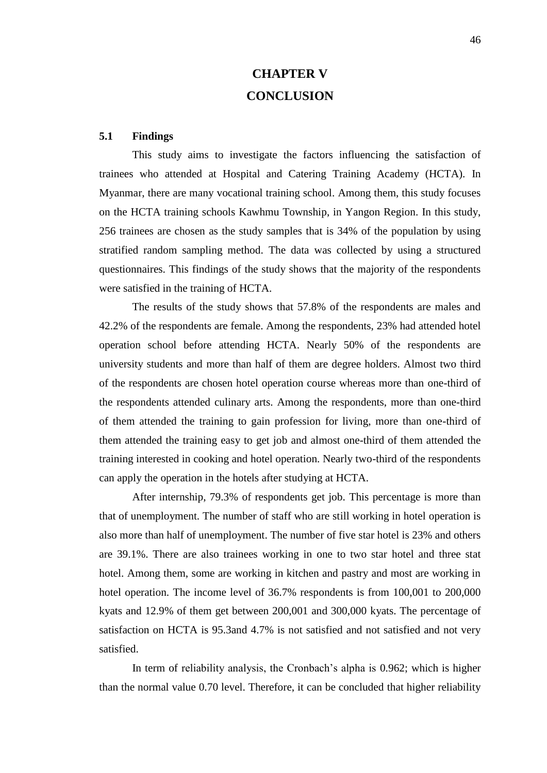# **CHAPTER V CONCLUSION**

### **5.1 Findings**

 This study aims to investigate the factors influencing the satisfaction of trainees who attended at Hospital and Catering Training Academy (HCTA). In Myanmar, there are many vocational training school. Among them, this study focuses on the HCTA training schools Kawhmu Township, in Yangon Region. In this study, 256 trainees are chosen as the study samples that is 34% of the population by using stratified random sampling method. The data was collected by using a structured questionnaires. This findings of the study shows that the majority of the respondents were satisfied in the training of HCTA.

 The results of the study shows that 57.8% of the respondents are males and 42.2% of the respondents are female. Among the respondents, 23% had attended hotel operation school before attending HCTA. Nearly 50% of the respondents are university students and more than half of them are degree holders. Almost two third of the respondents are chosen hotel operation course whereas more than one-third of the respondents attended culinary arts. Among the respondents, more than one-third of them attended the training to gain profession for living, more than one-third of them attended the training easy to get job and almost one-third of them attended the training interested in cooking and hotel operation. Nearly two-third of the respondents can apply the operation in the hotels after studying at HCTA.

After internship, 79.3% of respondents get job. This percentage is more than that of unemployment. The number of staff who are still working in hotel operation is also more than half of unemployment. The number of five star hotel is 23% and others are 39.1%. There are also trainees working in one to two star hotel and three stat hotel. Among them, some are working in kitchen and pastry and most are working in hotel operation. The income level of 36.7% respondents is from  $100,001$  to 200,000 kyats and 12.9% of them get between 200,001 and 300,000 kyats. The percentage of satisfaction on HCTA is 95.3and 4.7% is not satisfied and not satisfied and not very satisfied.

In term of reliability analysis, the Cronbach's alpha is 0.962; which is higher than the normal value 0.70 level. Therefore, it can be concluded that higher reliability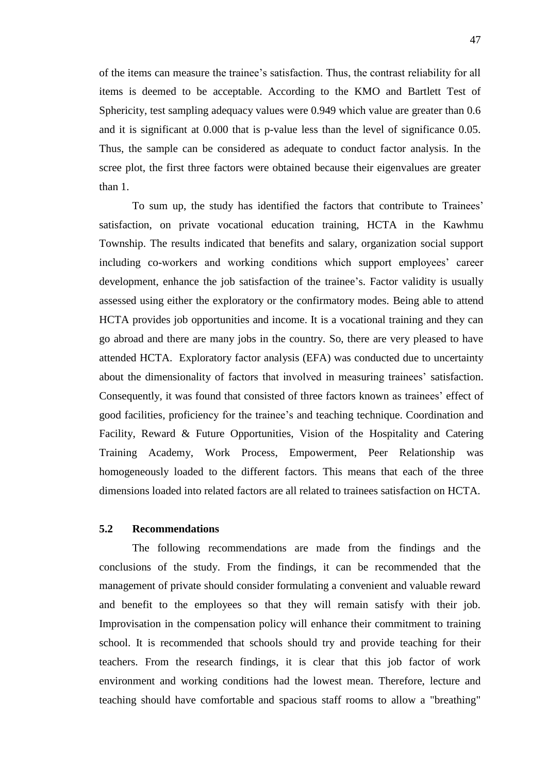of the items can measure the trainee's satisfaction. Thus, the contrast reliability for all items is deemed to be acceptable. According to the KMO and Bartlett Test of Sphericity, test sampling adequacy values were 0.949 which value are greater than 0.6 and it is significant at 0.000 that is p-value less than the level of significance 0.05. Thus, the sample can be considered as adequate to conduct factor analysis. In the scree plot, the first three factors were obtained because their eigenvalues are greater than 1.

 To sum up, the study has identified the factors that contribute to Trainees' satisfaction, on private vocational education training, HCTA in the Kawhmu Township. The results indicated that benefits and salary, organization social support including co-workers and working conditions which support employees' career development, enhance the job satisfaction of the trainee's. Factor validity is usually assessed using either the exploratory or the confirmatory modes. Being able to attend HCTA provides job opportunities and income. It is a vocational training and they can go abroad and there are many jobs in the country. So, there are very pleased to have attended HCTA. Exploratory factor analysis (EFA) was conducted due to uncertainty about the dimensionality of factors that involved in measuring trainees' satisfaction. Consequently, it was found that consisted of three factors known as trainees' effect of good facilities, proficiency for the trainee's and teaching technique. Coordination and Facility, Reward & Future Opportunities, Vision of the Hospitality and Catering Training Academy, Work Process, Empowerment, Peer Relationship was homogeneously loaded to the different factors. This means that each of the three dimensions loaded into related factors are all related to trainees satisfaction on HCTA.

### **5.2 Recommendations**

 The following recommendations are made from the findings and the conclusions of the study. From the findings, it can be recommended that the management of private should consider formulating a convenient and valuable reward and benefit to the employees so that they will remain satisfy with their job. Improvisation in the compensation policy will enhance their commitment to training school. It is recommended that schools should try and provide teaching for their teachers. From the research findings, it is clear that this job factor of work environment and working conditions had the lowest mean. Therefore, lecture and teaching should have comfortable and spacious staff rooms to allow a "breathing"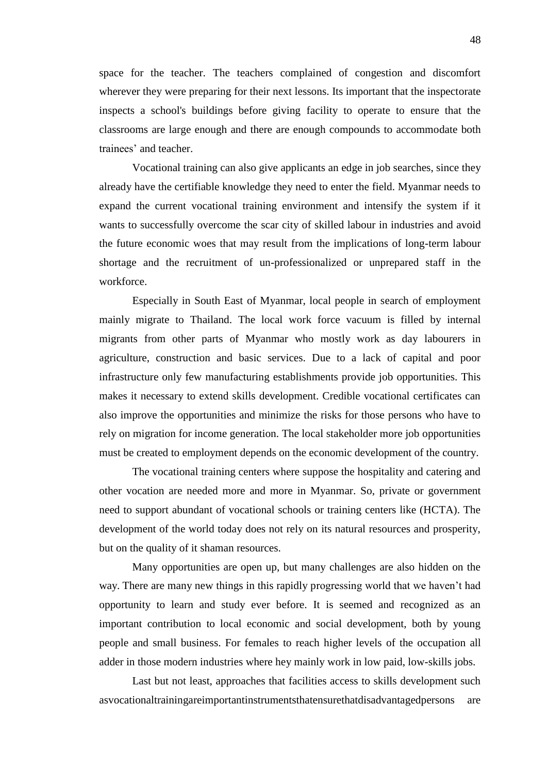space for the teacher. The teachers complained of congestion and discomfort wherever they were preparing for their next lessons. Its important that the inspectorate inspects a school's buildings before giving facility to operate to ensure that the classrooms are large enough and there are enough compounds to accommodate both trainees' and teacher.

Vocational training can also give applicants an edge in job searches, since they already have the certifiable knowledge they need to enter the field. Myanmar needs to expand the current vocational training environment and intensify the system if it wants to successfully overcome the scar city of skilled labour in industries and avoid the future economic woes that may result from the implications of long-term labour shortage and the recruitment of un-professionalized or unprepared staff in the workforce.

 Especially in South East of Myanmar, local people in search of employment mainly migrate to Thailand. The local work force vacuum is filled by internal migrants from other parts of Myanmar who mostly work as day labourers in agriculture, construction and basic services. Due to a lack of capital and poor infrastructure only few manufacturing establishments provide job opportunities. This makes it necessary to extend skills development. Credible vocational certificates can also improve the opportunities and minimize the risks for those persons who have to rely on migration for income generation. The local stakeholder more job opportunities must be created to employment depends on the economic development of the country.

 The vocational training centers where suppose the hospitality and catering and other vocation are needed more and more in Myanmar. So, private or government need to support abundant of vocational schools or training centers like (HCTA). The development of the world today does not rely on its natural resources and prosperity, but on the quality of it shaman resources.

 Many opportunities are open up, but many challenges are also hidden on the way. There are many new things in this rapidly progressing world that we haven't had opportunity to learn and study ever before. It is seemed and recognized as an important contribution to local economic and social development, both by young people and small business. For females to reach higher levels of the occupation all adder in those modern industries where hey mainly work in low paid, low-skills jobs.

Last but not least, approaches that facilities access to skills development such asvocationaltrainingareimportantinstrumentsthatensurethatdisadvantagedpersons are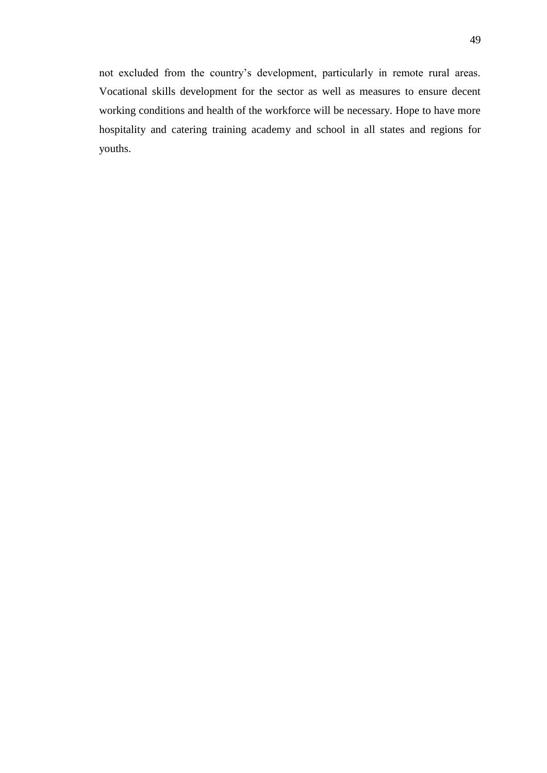not excluded from the country's development, particularly in remote rural areas. Vocational skills development for the sector as well as measures to ensure decent working conditions and health of the workforce will be necessary. Hope to have more hospitality and catering training academy and school in all states and regions for youths.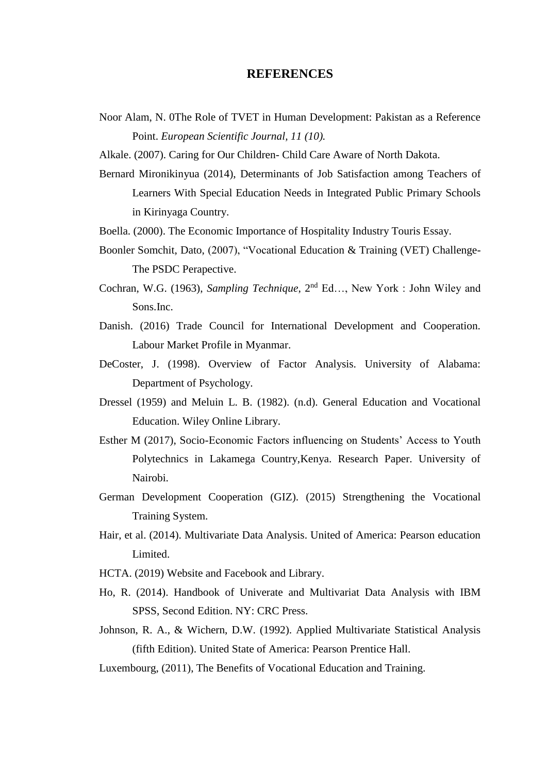### **REFERENCES**

- Noor Alam, N. 0The Role of TVET in Human Development: Pakistan as a Reference Point. *European Scientific Journal, 11 (10).*
- Alkale. (2007). Caring for Our Children- Child Care Aware of North Dakota.
- Bernard Mironikinyua (2014), Determinants of Job Satisfaction among Teachers of Learners With Special Education Needs in Integrated Public Primary Schools in Kirinyaga Country.
- Boella. (2000). The Economic Importance of Hospitality Industry Touris Essay.
- Boonler Somchit, Dato, (2007), "Vocational Education & Training (VET) Challenge-The PSDC Perapective.
- Cochran, W.G. (1963), *Sampling Technique*, 2nd Ed…, New York : John Wiley and Sons.Inc.
- Danish. (2016) Trade Council for International Development and Cooperation. Labour Market Profile in Myanmar.
- DeCoster, J. (1998). Overview of Factor Analysis. University of Alabama: Department of Psychology.
- Dressel (1959) and Meluin L. B. (1982). (n.d). General Education and Vocational Education. Wiley Online Library.
- Esther M (2017), Socio-Economic Factors influencing on Students' Access to Youth Polytechnics in Lakamega Country,Kenya. Research Paper. University of Nairobi.
- German Development Cooperation (GIZ). (2015) Strengthening the Vocational Training System.
- Hair, et al. (2014). Multivariate Data Analysis. United of America: Pearson education Limited.
- HCTA. (2019) Website and Facebook and Library.
- Ho, R. (2014). Handbook of Univerate and Multivariat Data Analysis with IBM SPSS, Second Edition. NY: CRC Press.
- Johnson, R. A., & Wichern, D.W. (1992). Applied Multivariate Statistical Analysis (fifth Edition). United State of America: Pearson Prentice Hall.
- Luxembourg, (2011), The Benefits of Vocational Education and Training.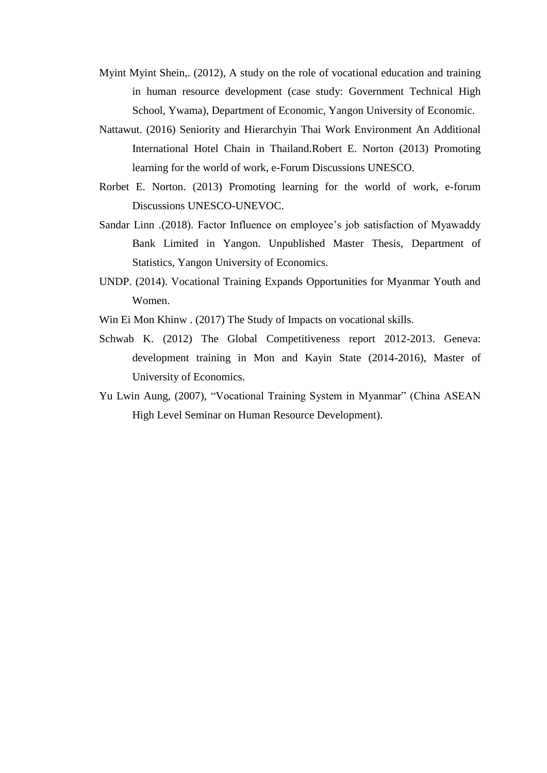- Myint Myint Shein,. (2012), A study on the role of vocational education and training in human resource development (case study: Government Technical High School, Ywama), Department of Economic, Yangon University of Economic.
- Nattawut. (2016) Seniority and Hierarchyin Thai Work Environment An Additional International Hotel Chain in Thailand.Robert E. Norton (2013) Promoting learning for the world of work, e-Forum Discussions UNESCO.
- Rorbet E. Norton. (2013) Promoting learning for the world of work, e-forum Discussions UNESCO-UNEVOC.
- Sandar Linn .(2018). Factor Influence on employee's job satisfaction of Myawaddy Bank Limited in Yangon. Unpublished Master Thesis, Department of Statistics, Yangon University of Economics.
- UNDP. (2014). Vocational Training Expands Opportunities for Myanmar Youth and Women.
- Win Ei Mon Khinw . (2017) The Study of Impacts on vocational skills.
- Schwab K. (2012) The Global Competitiveness report 2012-2013. Geneva: development training in Mon and Kayin State (2014-2016), Master of University of Economics.
- Yu Lwin Aung, (2007), "Vocational Training System in Myanmar" (China ASEAN High Level Seminar on Human Resource Development).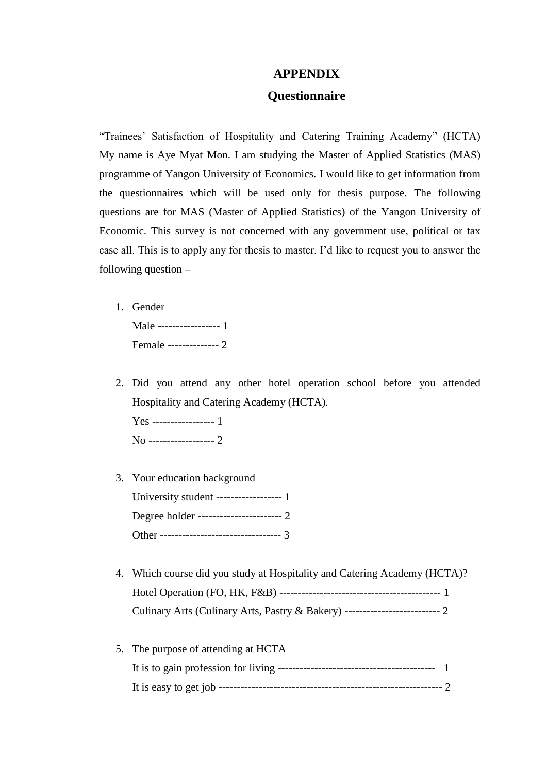### **APPENDIX**

### **Questionnaire**

"Trainees' Satisfaction of Hospitality and Catering Training Academy" (HCTA) My name is Aye Myat Mon. I am studying the Master of Applied Statistics (MAS) programme of Yangon University of Economics. I would like to get information from the questionnaires which will be used only for thesis purpose. The following questions are for MAS (Master of Applied Statistics) of the Yangon University of Economic. This survey is not concerned with any government use, political or tax case all. This is to apply any for thesis to master. I'd like to request you to answer the following question –

1. Gender

| Male ------------------ 1 |  |
|---------------------------|--|
| Female -------------- 2   |  |

2. Did you attend any other hotel operation school before you attended Hospitality and Catering Academy (HCTA). Yes ----------------- 1

No ------------------ 2

3. Your education background University student ------------------ 1

Degree holder ----------------------- 2 Other ----------------------------------- 3

- 4. Which course did you study at Hospitality and Catering Academy (HCTA)? Hotel Operation (FO, HK, F&B) -------------------------------------------- 1 Culinary Arts (Culinary Arts, Pastry & Bakery) -------------------------- 2
- 5. The purpose of attending at HCTA It is to gain profession for living ------------------------------------------- 1 It is easy to get job ------------------------------------------------------------- 2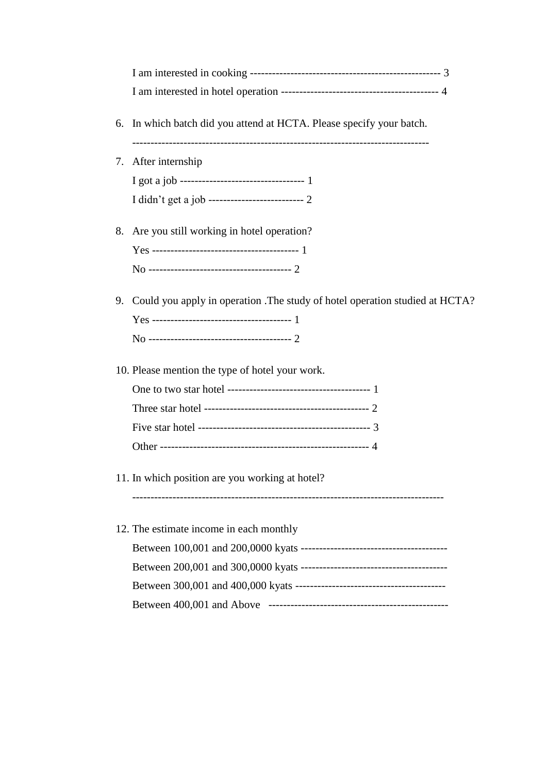| 6. | In which batch did you attend at HCTA. Please specify your batch.            |
|----|------------------------------------------------------------------------------|
|    | 7. After internship                                                          |
|    |                                                                              |
|    | I didn't get a job --------------------------- 2                             |
| 8. | Are you still working in hotel operation?                                    |
|    |                                                                              |
|    |                                                                              |
| 9. | Could you apply in operation . The study of hotel operation studied at HCTA? |
|    | 10. Please mention the type of hotel your work.                              |
|    |                                                                              |
|    |                                                                              |
|    |                                                                              |
|    |                                                                              |
|    | 11. In which position are you working at hotel?                              |
|    | 12. The estimate income in each monthly                                      |
|    |                                                                              |
|    |                                                                              |
|    |                                                                              |
|    |                                                                              |